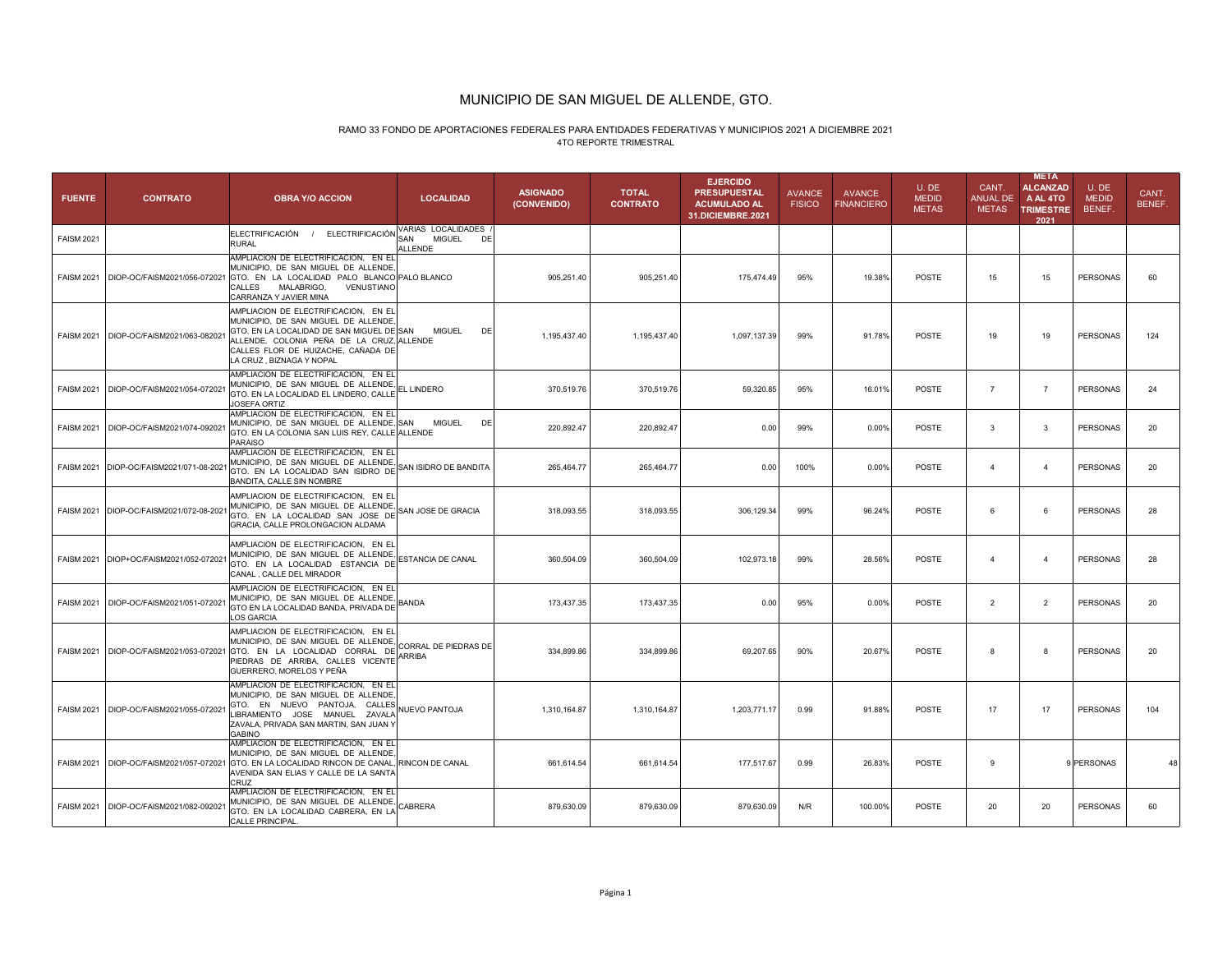# RAMO 33 FONDO DE APORTACIONES FEDERALES PARA ENTIDADES FEDERATIVAS Y MUNICIPIOS 2021 A DICIEMBRE 20214TO REPORTE TRIMESTRAL

| <b>FUENTE</b>     | <b>CONTRATO</b>                           | <b>OBRA Y/O ACCION</b>                                                                                                                                                                                                                  | <b>LOCALIDAD</b>                                            | <b>ASIGNADO</b><br>(CONVENIDO) | <b>TOTAL</b><br><b>CONTRATO</b> | <b>EJERCIDO</b><br><b>PRESUPUESTAL</b><br><b>ACUMULADO AL</b><br>31.DICIEMBRE.2021 | <b>AVANCE</b><br><b>FISICO</b> | <b>AVANCE</b><br><b>FINANCIERO</b> | U.DE<br><b>MEDID</b><br><b>METAS</b> | CANT.<br><b>ANUAL DE</b><br><b>METAS</b> | <b>META</b><br><b>ALCANZAD</b><br>A AL 4TO<br><b>TRIMESTRE</b><br>2021 | U.DE<br><b>MEDID</b><br>BENEF. | CANT.<br>BENEF. |
|-------------------|-------------------------------------------|-----------------------------------------------------------------------------------------------------------------------------------------------------------------------------------------------------------------------------------------|-------------------------------------------------------------|--------------------------------|---------------------------------|------------------------------------------------------------------------------------|--------------------------------|------------------------------------|--------------------------------------|------------------------------------------|------------------------------------------------------------------------|--------------------------------|-----------------|
| <b>FAISM 2021</b> |                                           | ELECTRIFICACIÓN<br>ELECTRIFICACIÓN<br>$\sqrt{1}$<br><b>RURAL</b>                                                                                                                                                                        | VARIAS LOCALIDADES<br><b>MIGUEL</b><br>SAN<br>DE<br>ALLENDE |                                |                                 |                                                                                    |                                |                                    |                                      |                                          |                                                                        |                                |                 |
| <b>FAISM 2021</b> | DIOP-OC/FAISM2021/056-07202               | AMPLIACION DE ELECTRIFICACION. EN EL<br>MUNICIPIO, DE SAN MIGUEL DE ALLENDE,<br>GTO. EN LA LOCALIDAD PALO BLANCO PALO BLANCO<br>CALLES<br>MALABRIGO,<br>VENUSTIANO<br>CARRANZA Y JAVIER MINA                                            |                                                             | 905,251.40                     | 905,251.40                      | 175,474.49                                                                         | 95%                            | 19.38%                             | <b>POSTE</b>                         | 15                                       | 15                                                                     | <b>PERSONAS</b>                | 60              |
|                   | FAISM 2021   DIOP-OC/FAISM2021/063-08202  | AMPLIACION DE ELECTRIFICACION, EN EL<br>MUNICIPIO, DE SAN MIGUEL DE ALLENDE<br>GTO. EN LA LOCALIDAD DE SAN MIGUEL DE SAN<br>ALLENDE, COLONIA PEÑA DE LA CRUZ, ALLENDE<br>CALLES FLOR DE HUIZACHE. CAÑADA DE<br>LA CRUZ, BIZNAGA Y NOPAL | <b>MIGUEL</b><br>DE                                         | 1,195,437.40                   | 1,195,437.40                    | 1,097,137.39                                                                       | 99%                            | 91.78%                             | <b>POSTE</b>                         | 19                                       | 19                                                                     | <b>PERSONAS</b>                | 124             |
|                   | FAISM 2021   DIOP-OC/FAISM2021/054-07202  | AMPLIACION DE ELECTRIFICACION, EN EI<br>MUNICIPIO, DE SAN MIGUEL DE ALLENDE,<br>GTO. EN LA LOCALIDAD EL LINDERO, CALLE<br>JOSEFA ORTIZ                                                                                                  | EL LINDERO                                                  | 370,519.76                     | 370,519.76                      | 59,320.85                                                                          | 95%                            | 16.01%                             | <b>POSTE</b>                         | $\overline{7}$                           | $\overline{7}$                                                         | <b>PERSONAS</b>                | 24              |
|                   | FAISM 2021   DIOP-OC/FAISM2021/074-092021 | AMPLIACION DE ELECTRIFICACION, EN EI<br>MUNICIPIO, DE SAN MIGUEL DE ALLENDE, SAN<br>GTO. EN LA COLONIA SAN LUIS REY, CALLE ALLENDE<br>PARAISO                                                                                           | <b>MIGUEL</b><br>DE                                         | 220,892.47                     | 220,892.47                      | 0.00                                                                               | 99%                            | 0.00%                              | POSTE                                | 3                                        | 3                                                                      | <b>PERSONAS</b>                | 20              |
|                   | FAISM 2021 DIOP-OC/FAISM2021/071-08-202   | AMPLIACION DE ELECTRIFICACION, EN EL<br>MUNICIPIO, DE SAN MIGUEL DE ALLENDE,<br>GTO. EN LA LOCALIDAD SAN ISIDRO DE<br>BANDITA, CALLE SIN NOMBRE                                                                                         | SAN ISIDRO DE BANDITA                                       | 265,464.77                     | 265,464.77                      | 0.00                                                                               | 100%                           | 0.00%                              | POSTE                                | $\overline{4}$                           | $\overline{4}$                                                         | <b>PERSONAS</b>                | 20              |
|                   | FAISM 2021 DIOP-OC/FAISM2021/072-08-202   | AMPLIACION DE ELECTRIFICACION, EN EL<br>MUNICIPIO, DE SAN MIGUEL DE ALLENDE,<br>GTO. EN LA LOCALIDAD SAN JOSE DE<br>GRACIA, CALLE PROLONGACION ALDAMA                                                                                   | SAN JOSE DE GRACIA                                          | 318,093.55                     | 318,093.55                      | 306,129.34                                                                         | 99%                            | 96.24%                             | POSTE                                | 6                                        | 6                                                                      | <b>PERSONAS</b>                | 28              |
|                   | FAISM 2021 DIOP+OC/FAISM2021/052-072021   | AMPLIACION DE ELECTRIFICACION, EN EL<br>MUNICIPIO, DE SAN MIGUEL DE ALLENDE,<br>GTO. EN LA LOCALIDAD ESTANCIA DE<br>CANAL, CALLE DEL MIRADOR                                                                                            | ESTANCIA DE CANAL                                           | 360,504.09                     | 360,504.09                      | 102,973.18                                                                         | 99%                            | 28.56%                             | POSTE                                | $\overline{4}$                           | $\overline{4}$                                                         | <b>PERSONAS</b>                | 28              |
|                   | FAISM 2021   DIOP-OC/FAISM2021/051-072021 | AMPLIACION DE ELECTRIFICACION, EN EL<br>MUNICIPIO. DE SAN MIGUEL DE ALLENDE.<br>GTO EN LA LOCALIDAD BANDA, PRIVADA DE<br><b>LOS GARCIA</b>                                                                                              | BANDA                                                       | 173,437.35                     | 173,437.35                      | 0.00                                                                               | 95%                            | 0.00%                              | <b>POSTE</b>                         | $\overline{2}$                           | 2                                                                      | <b>PERSONAS</b>                | 20              |
|                   |                                           | AMPLIACION DE ELECTRIFICACION, EN EL<br>MUNICIPIO, DE SAN MIGUEL DE ALLENDE,<br>FAISM 2021   DIOP-OC/FAISM2021/053-072021 GTO. EN LA LOCALIDAD CORRAL DE<br>PIEDRAS DE ARRIBA, CALLES VICENTE<br>GUERRERO, MORELOS Y PEÑA               | CORRAL DE PIEDRAS DE<br>ARRIBA                              | 334,899.86                     | 334,899.86                      | 69,207.65                                                                          | 90%                            | 20.67%                             | <b>POSTE</b>                         | 8                                        | 8                                                                      | <b>PERSONAS</b>                | 20              |
|                   | FAISM 2021   DIOP-OC/FAISM2021/055-072021 | AMPLIACION DE ELECTRIFICACION, EN EL<br>MUNICIPIO, DE SAN MIGUEL DE ALLENDE,<br>GTO. EN NUEVO PANTOJA,<br>CALLES<br>LIBRAMIENTO JOSE MANUEL ZAVALA<br>ZAVALA, PRIVADA SAN MARTIN, SAN JUAN Y<br><b>GABINO</b>                           | <b>IUEVO PANTOJA</b>                                        | 1,310,164.87                   | 1,310,164.87                    | 1,203,771.17                                                                       | 0.99                           | 91.88%                             | <b>POSTE</b>                         | 17                                       | 17                                                                     | <b>PERSONAS</b>                | 104             |
|                   |                                           | AMPLIACION DE ELECTRIFICACION, EN EI<br>MUNICIPIO, DE SAN MIGUEL DE ALLENDE<br>FAISM 2021   DIOP-OC/FAISM2021/057-072021 GTO. EN LA LOCALIDAD RINCON DE CANAL, RINCON DE CANAL<br>AVENIDA SAN ELIAS Y CALLE DE LA SANTA<br>CRUZ         |                                                             | 661,614.54                     | 661,614.54                      | 177,517.67                                                                         | 0.99                           | 26.83%                             | POSTE                                | 9                                        |                                                                        | 9 PERSONAS                     |                 |
|                   | FAISM 2021   DIOP-OC/FAISM2021/082-09202  | AMPLIACION DE ELECTRIFICACION, EN EL<br>MUNICIPIO, DE SAN MIGUEL DE ALLENDE,<br>GTO. EN LA LOCALIDAD CABRERA, EN LA<br>CALLE PRINCIPAL.                                                                                                 | CABRERA                                                     | 879,630.09                     | 879.630.09                      | 879,630.09                                                                         | N/R                            | 100.00%                            | POSTE                                | 20                                       | 20                                                                     | <b>PERSONAS</b>                | 60              |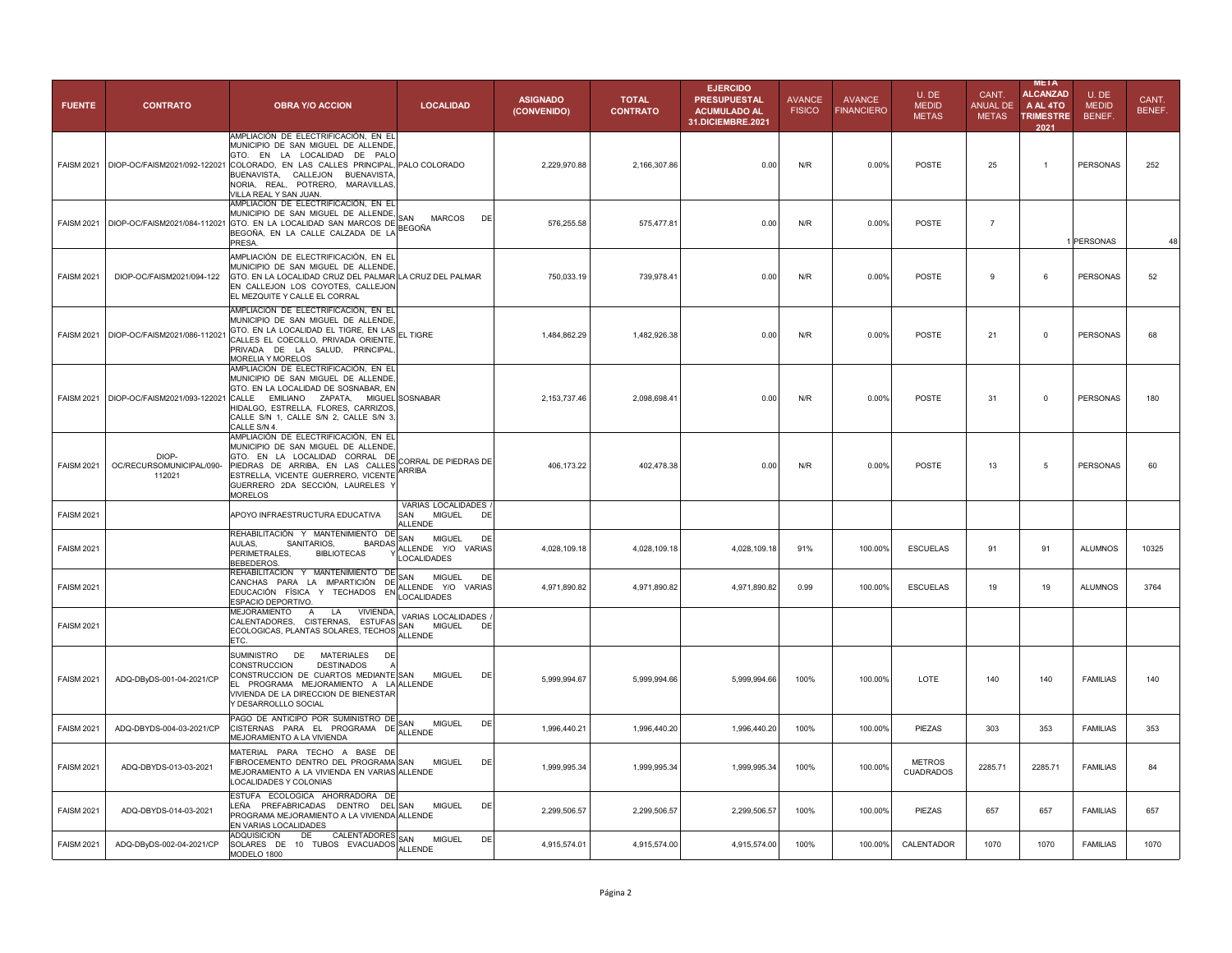| <b>FUENTE</b>     | <b>CONTRATO</b>                             | <b>OBRA Y/O ACCION</b>                                                                                                                                                                                                                                                                 | <b>LOCALIDAD</b>                                                                                         | <b>ASIGNADO</b><br>(CONVENIDO) | <b>TOTAL</b><br><b>CONTRATO</b> | <b>EJERCIDO</b><br><b>PRESUPUESTAL</b><br><b>ACUMULADO AL</b><br>31.DICIEMBRE.2021 | <b>AVANCE</b><br><b>FISICO</b> | <b>AVANCE</b><br><b>FINANCIERO</b> | U.DE<br><b>MEDID</b><br><b>METAS</b> | CANT.<br><b>ANUAL DE</b><br><b>METAS</b> | <b>META</b><br><b>ALCANZAD</b><br>A AL 4TO<br><b>TRIMESTRE</b><br>2021 | U.DE<br><b>MEDID</b><br><b>BENEF</b> | CANT.<br>BENEF. |
|-------------------|---------------------------------------------|----------------------------------------------------------------------------------------------------------------------------------------------------------------------------------------------------------------------------------------------------------------------------------------|----------------------------------------------------------------------------------------------------------|--------------------------------|---------------------------------|------------------------------------------------------------------------------------|--------------------------------|------------------------------------|--------------------------------------|------------------------------------------|------------------------------------------------------------------------|--------------------------------------|-----------------|
|                   | FAISM 2021   DIOP-OC/FAISM2021/092-122021   | AMPLIACIÓN DE ELECTRIFICACIÓN, EN EL<br>MUNICIPIO DE SAN MIGUEL DE ALLENDE,<br>GTO. EN LA LOCALIDAD DE PALO<br>COLORADO, EN LAS CALLES PRINCIPAL, PALO COLORADO<br>BUENAVISTA, CALLEJON BUENAVISTA,<br>NORIA, REAL, POTRERO, MARAVILLAS,<br>VILLA REAL Y SAN JUAN.                     |                                                                                                          | 2,229,970.88                   | 2,166,307.86                    | 0.00                                                                               | N/R                            | 0.00%                              | <b>POSTE</b>                         | 25                                       | $\mathbf{1}$                                                           | <b>PERSONAS</b>                      | 252             |
|                   | FAISM 2021 DIOP-OC/FAISM2021/084-112021     | AMPLIACIÓN DE ELECTRIFICACIÓN, EN EL<br>MUNICIPIO DE SAN MIGUEL DE ALLENDE,<br>GTO. EN LA LOCALIDAD SAN MARCOS DE<br>BEGOÑA, EN LA CALLE CALZADA DE LA BEGOÑA<br>PRESA.                                                                                                                | SAN<br><b>MARCOS</b><br>DE                                                                               | 576,255.58                     | 575,477.81                      | 0.00                                                                               | N/R                            | 0.00%                              | POSTE                                | $\overline{7}$                           |                                                                        | 1 PERSONAS                           | 48              |
| <b>FAISM 2021</b> | DIOP-OC/FAISM2021/094-122                   | AMPLIACIÓN DE ELECTRIFICACIÓN, EN EL<br>MUNICIPIO DE SAN MIGUEL DE ALLENDE.<br>GTO. EN LA LOCALIDAD CRUZ DEL PALMAR LA CRUZ DEL PALMAR<br>EN CALLEJON LOS COYOTES, CALLEJON<br>EL MEZQUITE Y CALLE EL CORRAL                                                                           |                                                                                                          | 750,033.19                     | 739,978.41                      | 0.00                                                                               | N/R                            | 0.00%                              | <b>POSTE</b>                         | 9                                        | 6                                                                      | <b>PERSONAS</b>                      | 52              |
|                   | FAISM 2021 DIOP-OC/FAISM2021/086-112021     | AMPLIACIÓN DE ELECTRIFICACIÓN, EN EL<br>MUNICIPIO DE SAN MIGUEL DE ALLENDE,<br>GTO. EN LA LOCALIDAD EL TIGRE, EN LAS EL TIGRE<br>CALLES EL COECILLO, PRIVADA ORIENTE,<br>PRIVADA DE LA SALUD, PRINCIPAL,<br>MORELIA Y MORELOS                                                          |                                                                                                          | 1,484,862.29                   | 1,482,926.38                    | 0.00                                                                               | N/R                            | 0.00%                              | POSTE                                | 21                                       | $\Omega$                                                               | <b>PERSONAS</b>                      | 68              |
|                   | FAISM 2021 DIOP-OC/FAISM2021/093-122021     | AMPLIACIÓN DE ELECTRIFICACIÓN, EN EL<br>MUNICIPIO DE SAN MIGUEL DE ALLENDE,<br>GTO. EN LA LOCALIDAD DE SOSNABAR, EN<br>CALLE EMILIANO ZAPATA, MIGUEL SOSNABAR<br>HIDALGO, ESTRELLA, FLORES, CARRIZOS,<br>CALLE S/N 1, CALLE S/N 2, CALLE S/N 3,<br>CALLE S/N 4.                        |                                                                                                          | 2,153,737.46                   | 2,098,698.41                    | 0.00                                                                               | N/R                            | 0.00%                              | POSTE                                | 31                                       | $\Omega$                                                               | <b>PERSONAS</b>                      | 180             |
| <b>FAISM 2021</b> | DIOP-<br>OC/RECURSOMUNICIPAL/090-<br>112021 | AMPLIACIÓN DE ELECTRIFICACIÓN, EN EL<br>MUNICIPIO DE SAN MIGUEL DE ALLENDE,<br>GTO. EN LA LOCALIDAD CORRAL DE<br>PIEDRAS DE ARRIBA, EN LAS CALLES <sup>I</sup> CURRAI<br>ESTRELLA, VICENTE GUERRERO, VICENTE <sup>I</sup> ARRIBA<br>GUERRERO 2DA SECCIÓN, LAURELES Y<br><b>MORELOS</b> | CORRAL DE PIEDRAS DE                                                                                     | 406,173.22                     | 402,478.38                      | 0.00                                                                               | N/R                            | 0.00%                              | POSTE                                | 13                                       | $\overline{5}$                                                         | <b>PERSONAS</b>                      | 60              |
| <b>FAISM 2021</b> |                                             | APOYO INFRAESTRUCTURA EDUCATIVA                                                                                                                                                                                                                                                        | VARIAS LOCALIDADES<br><b>MIGUEL</b><br>SAN<br>DE                                                         |                                |                                 |                                                                                    |                                |                                    |                                      |                                          |                                                                        |                                      |                 |
| <b>FAISM 2021</b> |                                             | REHABILITACIÓN Y MANTENIMIENTO DE<br>AULAS.<br>SANITARIOS.<br>PERIMETRALES,<br><b>BIBLIOTECAS</b><br>BEBEDEROS.                                                                                                                                                                        | <b>ALLENDE</b><br>SAN<br><b>MIGUEL</b><br>DE<br>BARDAS ALLENDE YO<br><b>VARIAS</b><br><b>LOCALIDADES</b> | 4,028,109.18                   | 4,028,109.18                    | 4,028,109.18                                                                       | 91%                            | 100.00%                            | <b>ESCUELAS</b>                      | 91                                       | 91                                                                     | <b>ALUMNOS</b>                       | 10325           |
| <b>FAISM 2021</b> |                                             | REHABILITACIÓN Y MANTENIMIENTO DE<br>CANCHAS PARA LA IMPARTICIÓN DE<br>EDUCACIÓN FÍSICA Y TECHADOS EN LOCALIDADES<br>ESPACIO DEPORTIVO.                                                                                                                                                | SAN<br><b>MIGUEL</b><br>DE<br>ALLENDE Y/O VARIAS                                                         | 4,971,890.82                   | 4,971,890.82                    | 4,971,890.82                                                                       | 0.99                           | 100.00%                            | <b>ESCUELAS</b>                      | 19                                       | 19                                                                     | <b>ALUMNOS</b>                       | 3764            |
| <b>FAISM 2021</b> |                                             | MEJORAMIENTO A<br>LA<br>VIVIENDA,<br>CALENTADORES, CISTERNAS, ESTUFAS VARI<br>ECOLOGICAS, PLANTAS SOLARES, TECHOS ALLENDE<br>FTC.                                                                                                                                                      | VARIAS LOCALIDADES<br><b>MIGUEL</b><br>DE                                                                |                                |                                 |                                                                                    |                                |                                    |                                      |                                          |                                                                        |                                      |                 |
| <b>FAISM 2021</b> | ADQ-DByDS-001-04-2021/CP                    | SUMINISTRO<br>DE MATERIALES<br>DE<br>CONSTRUCCION<br><b>DESTINADOS</b><br>CONSTRUCCION DE CUARTOS MEDIANTE SAN<br>EL PROGRAMA MEJORAMIENTO A LA ALLENDE<br>VIVIENDA DE LA DIRECCION DE BIENESTAR<br>Y DESARROLLLO SOCIAL                                                               | <b>MIGUEL</b><br>DE                                                                                      | 5,999,994.67                   | 5,999,994.66                    | 5,999,994.66                                                                       | 100%                           | 100.00%                            | LOTE                                 | 140                                      | 140                                                                    | <b>FAMILIAS</b>                      | 140             |
| <b>FAISM 2021</b> | ADQ-DBYDS-004-03-2021/CP                    | PAGO DE ANTICIPO POR SUMINISTRO DE<br>CISTERNAS PARA EL PROGRAMA DE ALLENDE<br>MEJORAMIENTO A LA VIVIENDA                                                                                                                                                                              | <b>MIGUEL</b><br>DE                                                                                      | 1,996,440.21                   | 1,996,440.20                    | 1,996,440.20                                                                       | 100%                           | 100.00%                            | PIEZAS                               | 303                                      | 353                                                                    | <b>FAMILIAS</b>                      | 353             |
| <b>FAISM 2021</b> | ADQ-DBYDS-013-03-2021                       | MATERIAL PARA TECHO A BASE DE<br>FIBROCEMENTO DENTRO DEL PROGRAMA SAN<br>MEJORAMIENTO A LA VIVIENDA EN VARIAS ALLENDE<br>LOCALIDADES Y COLONIAS                                                                                                                                        | <b>MIGUEL</b><br>DE                                                                                      | 1,999,995.34                   | 1,999,995.34                    | 1,999,995.34                                                                       | 100%                           | 100.00%                            | <b>METROS</b><br><b>CUADRADOS</b>    | 2285.71                                  | 2285.71                                                                | <b>FAMILIAS</b>                      | 84              |
| <b>FAISM 2021</b> | ADQ-DBYDS-014-03-2021                       | ESTUFA ECOLOGICA AHORRADORA DE<br>LEÑA PREFABRICADAS DENTRO DEL SAN<br>PROGRAMA MEJORAMIENTO A LA VIVIENDA ALLENDE<br>EN VARIAS LOCALIDADES                                                                                                                                            | <b>MIGUEL</b><br>DE                                                                                      | 2,299,506.57                   | 2,299,506.57                    | 2,299,506.57                                                                       | 100%                           | 100.00%                            | PIEZAS                               | 657                                      | 657                                                                    | <b>FAMILIAS</b>                      | 657             |
| <b>FAISM 2021</b> | ADQ-DByDS-002-04-2021/CP                    | ADQUISICION<br>DE<br>CALENTADORES SAN<br>SOLARES DE 10 TUBOS EVACUADOS ALLENDE<br>MODELO 1800                                                                                                                                                                                          | <b>MIGUEL</b><br>DE                                                                                      | 4,915,574.01                   | 4,915,574.00                    | 4,915,574.00                                                                       | 100%                           | 100.00%                            | CALENTADOR                           | 1070                                     | 1070                                                                   | <b>FAMILIAS</b>                      | 1070            |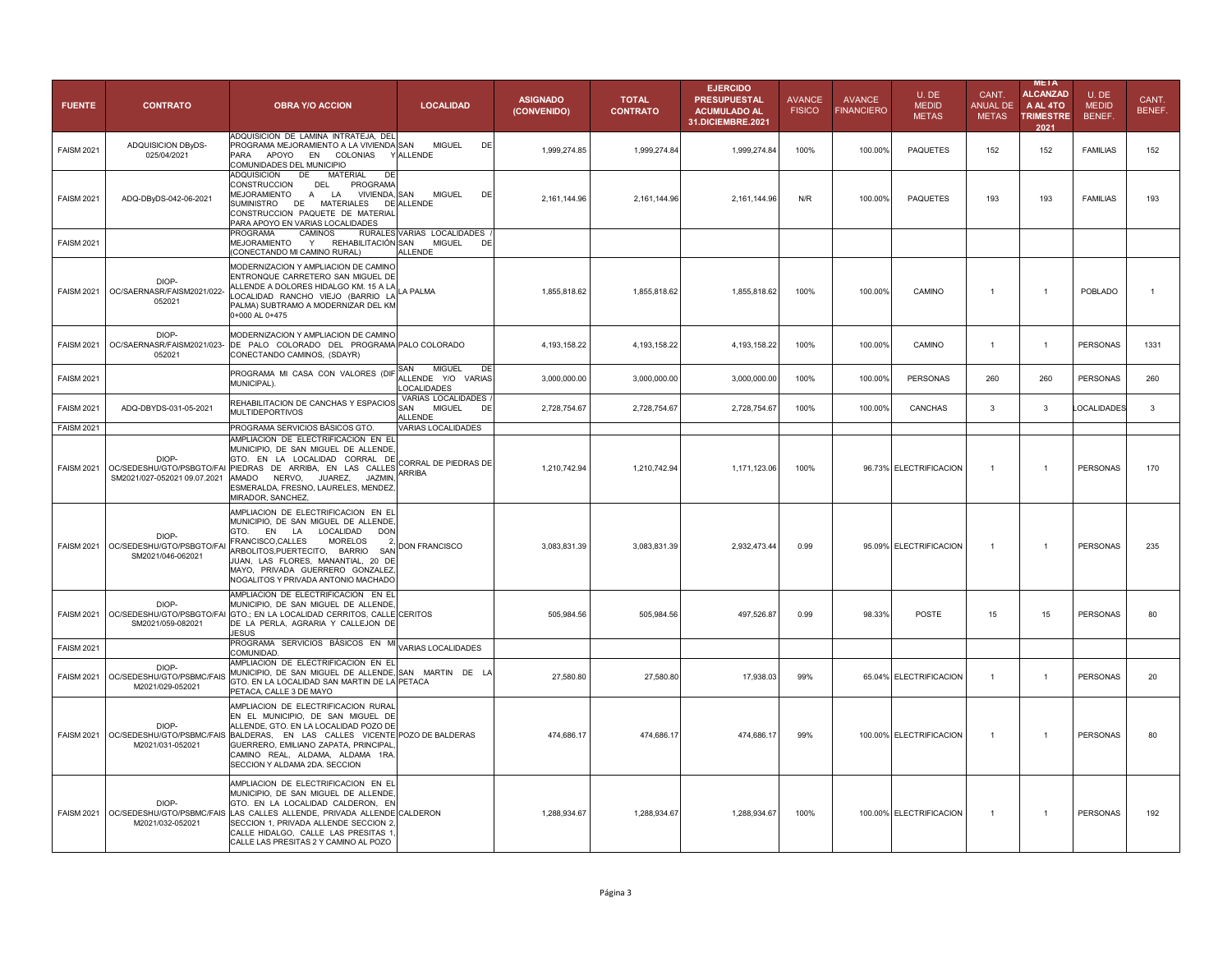| <b>FUENTE</b>     | <b>CONTRATO</b>                                                    | <b>OBRA Y/O ACCION</b>                                                                                                                                                                                                                                                                                                                       | <b>LOCALIDAD</b>                                                 | <b>ASIGNADO</b><br>(CONVENIDO) | <b>TOTAL</b><br><b>CONTRATO</b> | <b>EJERCIDO</b><br><b>PRESUPUESTAL</b><br><b>ACUMULADO AL</b><br>31.DICIEMBRE.2021 | <b>AVANCE</b><br><b>FISICO</b> | <b>AVANCE</b><br><b>FINANCIERO</b> | U.DE<br><b>MEDID</b><br><b>METAS</b> | CANT.<br><b>ANUAL DE</b><br><b>METAS</b> | <b>META</b><br><b>ALCANZAD</b><br>A AL 4TO<br><b>TRIMESTRE</b><br>2021 | U.DE<br><b>MEDID</b><br>BENEF. | CANT.<br>BENEF. |
|-------------------|--------------------------------------------------------------------|----------------------------------------------------------------------------------------------------------------------------------------------------------------------------------------------------------------------------------------------------------------------------------------------------------------------------------------------|------------------------------------------------------------------|--------------------------------|---------------------------------|------------------------------------------------------------------------------------|--------------------------------|------------------------------------|--------------------------------------|------------------------------------------|------------------------------------------------------------------------|--------------------------------|-----------------|
| <b>FAISM 2021</b> | ADQUISICION DByDS-<br>025/04/2021                                  | ADQUISICION DE LAMINA INTRATEJA, DEL<br>PROGRAMA MEJORAMIENTO A LA VIVIENDA SAN<br>APOYO EN<br>COLONIAS<br>PARA<br>COMUNIDADES DEL MUNICIPIO                                                                                                                                                                                                 | <b>MIGUEL</b><br><b>Y ALLENDE</b>                                | DE<br>1,999,274.85             | 1,999,274.84                    | 1,999,274.84                                                                       | 100%                           | 100.00%                            | <b>PAQUETES</b>                      | 152                                      | 152                                                                    | <b>FAMILIAS</b>                | 152             |
| <b>FAISM 2021</b> | ADQ-DByDS-042-06-2021                                              | MATERIAL<br>ADQUISICION<br>DE<br>DF<br>CONSTRUCCION<br>DEL<br>PROGRAMA<br>MEJORAMIENTO<br>A LA<br><b>VIVIENDA, SAN</b><br>SUMINISTRO DE MATERIALES<br>CONSTRUCCION PAQUETE DE MATERIAL<br>PARA APOYO EN VARIAS LOCALIDADES<br>CAMINOS<br>PROGRAMA                                                                                            | <b>MIGUEL</b><br>DE ALLENDE<br>RURALES VARIAS LOCALIDADES        | DE<br>2,161,144.96             | 2,161,144.96                    | 2,161,144.96                                                                       | N/R                            | 100.00%                            | <b>PAQUETES</b>                      | 193                                      | 193                                                                    | <b>FAMILIAS</b>                | 193             |
| <b>FAISM 2021</b> |                                                                    | MEJORAMIENTO<br>Y<br>REHABILITACIÓN SAN<br>(CONECTANDO MI CAMINO RURAL)                                                                                                                                                                                                                                                                      | <b>MIGUEL</b><br>ALLENDE                                         | DE                             |                                 |                                                                                    |                                |                                    |                                      |                                          |                                                                        |                                |                 |
| <b>FAISM 2021</b> | DIOP-<br>OC/SAERNASR/FAISM2021/022-<br>052021                      | MODERNIZACION Y AMPLIACION DE CAMINO<br>ENTRONQUE CARRETERO SAN MIGUEL DE<br>ALLENDE A DOLORES HIDALGO KM. 15 A LA LA PALMA<br>LOCALIDAD RANCHO VIEJO (BARRIO LA<br>PALMA) SUBTRAMO A MODERNIZAR DEL KM<br>0+000 AL 0+475                                                                                                                    |                                                                  | 1,855,818.62                   | 1,855,818.62                    | 1,855,818.62                                                                       | 100%                           | 100.00%                            | CAMINO                               | $\overline{1}$                           | $\mathbf{1}$                                                           | POBLADO                        | $\mathbf{1}$    |
| <b>FAISM 2021</b> | DIOP-<br>OC/SAERNASR/FAISM2021/023-<br>052021                      | MODERNIZACION Y AMPLIACION DE CAMINO<br>DE PALO COLORADO DEL PROGRAMA PALO COLORADO<br>CONECTANDO CAMINOS, (SDAYR)                                                                                                                                                                                                                           |                                                                  | 4,193,158.22                   | 4,193,158.22                    | 4,193,158.22                                                                       | 100%                           | 100.00%                            | CAMINO                               | $\mathbf{1}$                             | -1                                                                     | <b>PERSONAS</b>                | 1331            |
| <b>FAISM 2021</b> |                                                                    | PROGRAMA MI CASA CON VALORES (DIF<br>MUNICIPAL).                                                                                                                                                                                                                                                                                             | SAN<br><b>MIGUEL</b><br>ALLENDE Y/O VARIAS<br><b>LOCALIDADES</b> | DE<br>3,000,000.00             | 3,000,000.00                    | 3,000,000.00                                                                       | 100%                           | 100.00%                            | <b>PERSONAS</b>                      | 260                                      | 260                                                                    | <b>PERSONAS</b>                | 260             |
| <b>FAISM 2021</b> | ADQ-DBYDS-031-05-2021                                              | REHABILITACION DE CANCHAS Y ESPACIOS<br><b>MULTIDEPORTIVOS</b>                                                                                                                                                                                                                                                                               | VARIAS LOCALIDADES<br>SAN<br><b>MIGUEL</b><br><b>ALLENDE</b>     | 2,728,754.67<br>DE             | 2,728,754.67                    | 2,728,754.67                                                                       | 100%                           | 100.00%                            | CANCHAS                              | 3                                        | 3                                                                      | LOCALIDADES                    | $\mathbf{3}$    |
| <b>FAISM 2021</b> |                                                                    | PROGRAMA SERVICIOS BÁSICOS GTO.                                                                                                                                                                                                                                                                                                              | VARIAS LOCALIDADES                                               |                                |                                 |                                                                                    |                                |                                    |                                      |                                          |                                                                        |                                |                 |
| <b>FAISM 2021</b> | DIOP-<br>OC/SEDESHU/GTO/PSBGTO/FAI<br>SM2021/027-052021 09.07.2021 | AMPLIACION DE ELECTRIFICACION EN EL<br>MUNICIPIO, DE SAN MIGUEL DE ALLENDE,<br>GTO. EN LA LOCALIDAD CORRAL DE<br>PIEDRAS DE ARRIBA, EN LAS CALLES<br>AMADO<br>NERVO. JUAREZ.<br>JAZMIN.<br>ESMERALDA, FRESNO, LAURELES, MENDEZ,<br>MIRADOR, SANCHEZ,                                                                                         | CORRAL DE PIEDRAS DE<br><b>ARRIBA</b>                            | 1,210,742.94                   | 1,210,742.94                    | 1,171,123.06                                                                       | 100%                           |                                    | 96.73% ELECTRIFICACION               | $\overline{1}$                           | $\mathbf{1}$                                                           | <b>PERSONAS</b>                | 170             |
| <b>FAISM 2021</b> | DIOP-<br>OC/SEDESHU/GTO/PSBGTO/FA<br>SM2021/046-062021             | AMPLIACION DE ELECTRIFICACION EN EL<br>MUNICIPIO. DE SAN MIGUEL DE ALLENDE.<br>GTO.<br>LOCALIDAD<br><b>DON</b><br>EN<br>LA<br>FRANCISCO, CALLES<br><b>MORELOS</b><br>$\overline{2}$<br>ARBOLITOS, PUERTECITO, BARRIO<br>SAN<br>JUAN, LAS FLORES, MANANTIAL, 20 DE<br>MAYO, PRIVADA GUERRERO GONZALEZ,<br>NOGALITOS Y PRIVADA ANTONIO MACHADO | DON FRANCISCO                                                    | 3,083,831.39                   | 3,083,831.39                    | 2,932,473.44                                                                       | 0.99                           |                                    | 95.09% ELECTRIFICACION               | $\overline{1}$                           | $\mathbf{1}$                                                           | <b>PERSONAS</b>                | 235             |
| <b>FAISM 2021</b> | DIOP-<br>OC/SEDESHU/GTO/PSBGTO/FAI<br>SM2021/059-082021            | AMPLIACION DE ELECTRIFICACION EN EL<br>MUNICIPIO, DE SAN MIGUEL DE ALLENDE,<br>GTO.; EN LA LOCALIDAD CERRITOS, CALLE CERITOS<br>DE LA PERLA, AGRARIA Y CALLEJON DE<br><b>JESUS</b>                                                                                                                                                           |                                                                  | 505,984.56                     | 505,984.56                      | 497,526.87                                                                         | 0.99                           | 98.33%                             | <b>POSTE</b>                         | 15                                       | 15                                                                     | <b>PERSONAS</b>                | 80              |
| <b>FAISM 2021</b> |                                                                    | PROGRAMA SERVICIOS BÁSICOS EN MI VARIAS LOCALIDADES<br>COMUNIDAD                                                                                                                                                                                                                                                                             |                                                                  |                                |                                 |                                                                                    |                                |                                    |                                      |                                          |                                                                        |                                |                 |
| <b>FAISM 2021</b> | DIOP-<br>OC/SEDESHU/GTO/PSBMC/FAIS<br>M2021/029-052021             | AMPLIACION DE ELECTRIFICACION EN EL<br>MUNICIPIO, DE SAN MIGUEL DE ALLENDE, SAN MARTIN DE LA<br>GTO. EN LA LOCALIDAD SAN MARTIN DE LA PETACA<br>PETACA, CALLE 3 DE MAYO                                                                                                                                                                      |                                                                  | 27,580.80                      | 27,580.80                       | 17,938.03                                                                          | 99%                            |                                    | 65.04% ELECTRIFICACION               | $\overline{1}$                           | $\mathbf{1}$                                                           | PERSONAS                       | 20              |
| <b>FAISM 2021</b> | DIOP-<br>OC/SEDESHU/GTO/PSBMC/FAIS<br>M2021/031-052021             | AMPLIACION DE ELECTRIFICACION RURAL<br>EN EL MUNICIPIO, DE SAN MIGUEL DE<br>ALLENDE, GTO. EN LA LOCALIDAD POZO DE<br>BALDERAS, EN LAS CALLES VICENTE POZO DE BALDERAS<br>GUERRERO, EMILIANO ZAPATA, PRINCIPAL,<br>CAMINO REAL, ALDAMA, ALDAMA 1RA.<br>SECCION Y ALDAMA 2DA. SECCION                                                          |                                                                  | 474,686.17                     | 474,686.17                      | 474,686.17                                                                         | 99%                            |                                    | 100.00% ELECTRIFICACION              | $\overline{1}$                           | $\mathbf{1}$                                                           | <b>PERSONAS</b>                | 80              |
|                   | DIOP-<br>FAISM 2021 OC/SEDESHU/GTO/PSBMC/FAIS<br>M2021/032-052021  | AMPLIACION DE ELECTRIFICACION EN EL<br>MUNICIPIO, DE SAN MIGUEL DE ALLENDE,<br>GTO. EN LA LOCALIDAD CALDERON, EN<br>LAS CALLES ALLENDE, PRIVADA ALLENDE CALDERON<br>SECCION 1, PRIVADA ALLENDE SECCION 2,<br>CALLE HIDALGO, CALLE LAS PRESITAS 1,<br>CALLE LAS PRESITAS 2 Y CAMINO AL POZO                                                   |                                                                  | 1,288,934.67                   | 1,288,934.67                    | 1,288,934.67                                                                       | 100%                           |                                    | 100.00% ELECTRIFICACION              | $\overline{1}$                           | $\mathbf{1}$                                                           | <b>PERSONAS</b>                | 192             |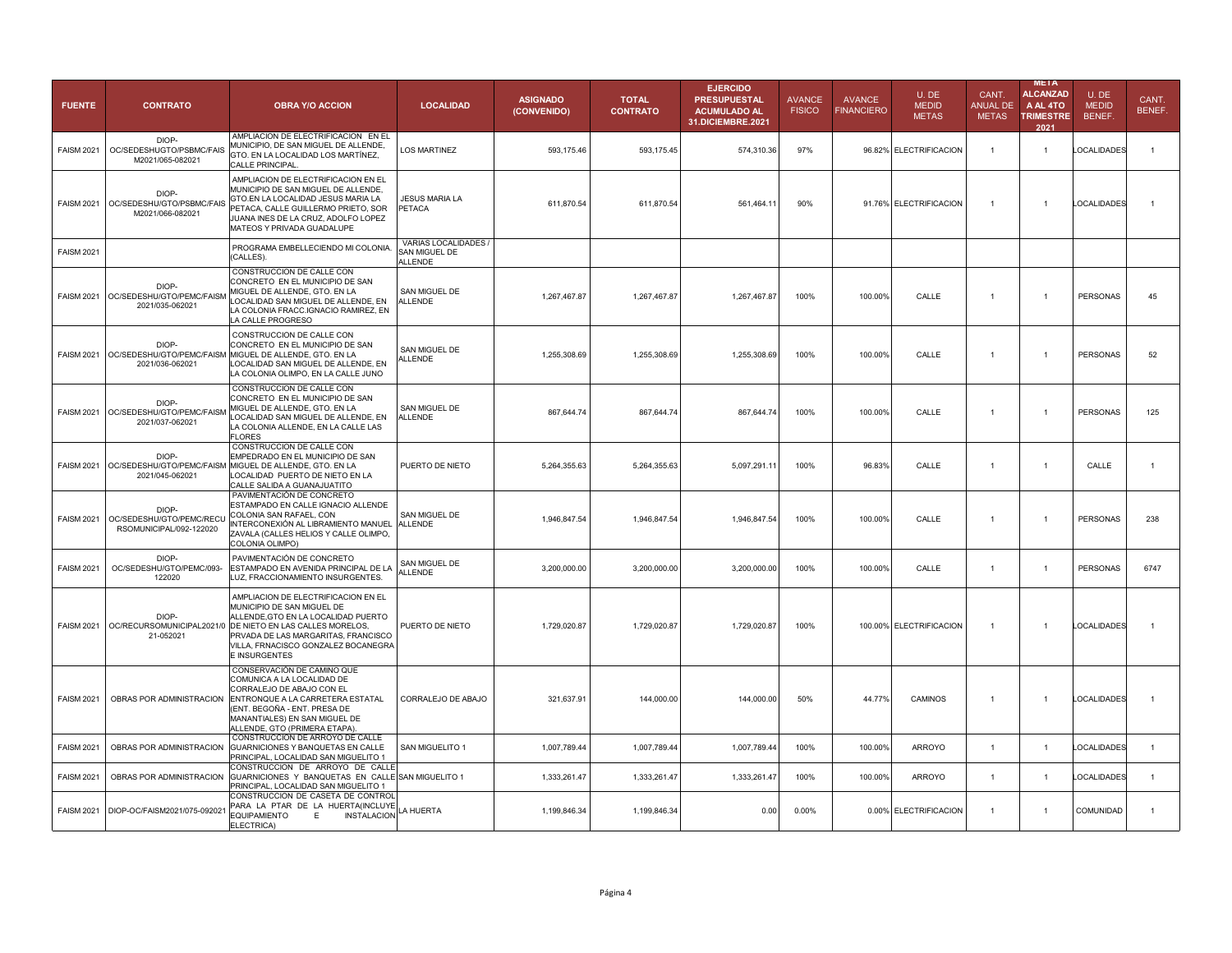| <b>FUENTE</b>     | <b>CONTRATO</b>                                              | <b>OBRA Y/O ACCION</b>                                                                                                                                                                                                                                                      | <b>LOCALIDAD</b>                                        | <b>ASIGNADO</b><br>(CONVENIDO) | <b>TOTAL</b><br><b>CONTRATO</b> | <b>EJERCIDO</b><br><b>PRESUPUESTAL</b><br><b>ACUMULADO AL</b><br>31.DICIEMBRE.2021 | <b>AVANCE</b><br><b>FISICO</b> | <b>AVANCE</b><br><b>FINANCIERO</b> | U.DE<br><b>MEDID</b><br><b>METAS</b> | CANT.<br><b>ANUAL DE</b><br><b>METAS</b> | META<br><b>ALCANZAD</b><br>A AL 4TO<br><b>TRIMESTRE</b><br>2021 | U.DE<br><b>MEDID</b><br>BENEF. | CANT.<br>BENEF. |
|-------------------|--------------------------------------------------------------|-----------------------------------------------------------------------------------------------------------------------------------------------------------------------------------------------------------------------------------------------------------------------------|---------------------------------------------------------|--------------------------------|---------------------------------|------------------------------------------------------------------------------------|--------------------------------|------------------------------------|--------------------------------------|------------------------------------------|-----------------------------------------------------------------|--------------------------------|-----------------|
| <b>FAISM 2021</b> | DIOP-<br>OC/SEDESHUGTO/PSBMC/FAIS<br>M2021/065-082021        | AMPLIACION DE ELECTRIFICACION EN EL<br>MUNICIPIO, DE SAN MIGUEL DE ALLENDE,<br>GTO. EN LA LOCALIDAD LOS MARTÍNEZ,<br>CALLE PRINCIPAL                                                                                                                                        | <b>LOS MARTINEZ</b>                                     | 593,175.46                     | 593,175.45                      | 574,310.36                                                                         | 97%                            |                                    | 96.82% ELECTRIFICACION               | $\overline{1}$                           | $\mathbf{1}$                                                    | LOCALIDADES                    | $\mathbf{1}$    |
| <b>FAISM 2021</b> | DIOP-<br>OC/SEDESHU/GTO/PSBMC/FAIS<br>M2021/066-082021       | AMPLIACION DE ELECTRIFICACION EN EL<br>MUNICIPIO DE SAN MIGUEL DE ALLENDE,<br>GTO.EN LA LOCALIDAD JESUS MARIA LA<br>PETACA, CALLE GUILLERMO PRIETO, SOR<br>JUANA INES DE LA CRUZ, ADOLFO LOPEZ<br>MATEOS Y PRIVADA GUADALUPE                                                | <b>JESUS MARIA LA</b><br>PETACA                         | 611,870.54                     | 611,870.54                      | 561.464.11                                                                         | 90%                            |                                    | 91.76% ELECTRIFICACION               | $\overline{1}$                           | $\overline{1}$                                                  | <b>LOCALIDADES</b>             |                 |
| <b>FAISM 2021</b> |                                                              | PROGRAMA EMBELLECIENDO MI COLONIA.<br>(CALLES).                                                                                                                                                                                                                             | VARIAS LOCALIDADES /<br>SAN MIGUEL DE<br><b>ALLENDE</b> |                                |                                 |                                                                                    |                                |                                    |                                      |                                          |                                                                 |                                |                 |
| <b>FAISM 2021</b> | DIOP-<br>OC/SEDESHU/GTO/PEMC/FAISM<br>2021/035-062021        | CONSTRUCCION DE CALLE CON<br>CONCRETO EN EL MUNICIPIO DE SAN<br>MIGUEL DE ALLENDE, GTO. EN LA<br>LOCALIDAD SAN MIGUEL DE ALLENDE, EN<br>LA COLONIA FRACC.IGNACIO RAMIREZ, EN<br>LA CALLE PROGRESO                                                                           | SAN MIGUEL DE<br>ALLENDE                                | 1,267,467.87                   | 1,267,467.87                    | 1,267,467.87                                                                       | 100%                           | 100.00%                            | CALLE                                | $\overline{1}$                           | $\overline{1}$                                                  | PERSONAS                       | 45              |
| <b>FAISM 2021</b> | DIOP-<br>OC/SEDESHU/GTO/PEMC/FAISM<br>2021/036-062021        | CONSTRUCCION DE CALLE CON<br>CONCRETO EN EL MUNICIPIO DE SAN<br>MIGUEL DE ALLENDE, GTO. EN LA<br>LOCALIDAD SAN MIGUEL DE ALLENDE, EN<br>LA COLONIA OLIMPO, EN LA CALLE JUNO                                                                                                 | SAN MIGUEL DE<br><b>LLENDE</b>                          | 1,255,308.69                   | 1,255,308.69                    | 1,255,308.69                                                                       | 100%                           | 100.00%                            | CALLE                                | $\overline{1}$                           | $\mathbf{1}$                                                    | <b>PERSONAS</b>                | 52              |
| <b>FAISM 2021</b> | DIOP-<br>OC/SEDESHU/GTO/PEMC/FAISM<br>2021/037-062021        | CONSTRUCCION DE CALLE CON<br>CONCRETO EN EL MUNICIPIO DE SAN<br>MIGUEL DE ALLENDE, GTO. EN LA<br>LOCALIDAD SAN MIGUEL DE ALLENDE. EN<br>LA COLONIA ALLENDE, EN LA CALLE LAS<br><b>FLORES</b>                                                                                | SAN MIGUEL DE<br><b>ALLENDE</b>                         | 867,644.74                     | 867,644.74                      | 867,644.74                                                                         | 100%                           | 100.00%                            | CALLE                                | $\overline{1}$                           | $\mathbf{1}$                                                    | PERSONAS                       | 125             |
| <b>FAISM 2021</b> | DIOP-<br>OC/SEDESHU/GTO/PEMC/FAISM<br>2021/045-062021        | CONSTRUCCION DE CALLE CON<br>EMPEDRADO EN EL MUNICIPIO DE SAN<br>MIGUEL DE ALLENDE, GTO, EN LA<br>LOCALIDAD PUERTO DE NIETO EN LA<br>CALLE SALIDA A GUANAJUATITO                                                                                                            | PUERTO DE NIETO                                         | 5,264,355.63                   | 5,264,355.63                    | 5,097,291.11                                                                       | 100%                           | 96.83%                             | CALLE                                | -1                                       | $\overline{1}$                                                  | CALLE                          |                 |
| <b>FAISM 2021</b> | DIOP-<br>OC/SEDESHU/GTO/PEMC/RECU<br>RSOMUNICIPAL/092-122020 | PAVIMENTACIÓN DE CONCRETO<br>ESTAMPADO EN CALLE IGNACIO ALLENDE<br>COLONIA SAN RAFAEL, CON<br>INTERCONEXIÓN AL LIBRAMIENTO MANUEL<br>ZAVALA (CALLES HELIOS Y CALLE OLIMPO,<br>COLONIA OLIMPO)                                                                               | SAN MIGUEL DE<br><b>ALLENDE</b>                         | 1,946,847.54                   | 1,946,847.54                    | 1,946,847.54                                                                       | 100%                           | 100.00%                            | CALLE                                | $\overline{1}$                           | $\overline{1}$                                                  | <b>PERSONAS</b>                | 238             |
| <b>FAISM 2021</b> | DIOP-<br>OC/SEDESHU/GTO/PEMC/093<br>122020                   | PAVIMENTACIÓN DE CONCRETO<br>ESTAMPADO EN AVENIDA PRINCIPAL DE LA<br>LUZ, FRACCIONAMIENTO INSURGENTES.                                                                                                                                                                      | SAN MIGUEL DE<br>ALLENDE                                | 3,200,000.00                   | 3,200,000.00                    | 3,200,000.00                                                                       | 100%                           | 100.00%                            | CALLE                                | $\overline{1}$                           | $\mathbf{1}$                                                    | <b>PERSONAS</b>                | 6747            |
| <b>FAISM 2021</b> | DIOP-<br>21-052021                                           | AMPLIACION DE ELECTRIFICACION EN EL<br>MUNICIPIO DE SAN MIGUEL DE<br>ALLENDE, GTO EN LA LOCALIDAD PUERTO<br>OC/RECURSOMUNICIPAL2021/0 DE NIETO EN LAS CALLES MORELOS,<br>PRVADA DE LAS MARGARITAS, FRANCISCO<br>VILLA, FRNACISCO GONZALEZ BOCANEGRA<br><b>E INSURGENTES</b> | PUERTO DE NIETO                                         | 1,729,020.87                   | 1,729,020.87                    | 1,729,020.87                                                                       | 100%                           |                                    | 100.00% ELECTRIFICACION              | $\overline{1}$                           | $\overline{1}$                                                  | LOCALIDADES                    |                 |
| <b>FAISM 2021</b> | OBRAS POR ADMINISTRACION                                     | CONSERVACIÓN DE CAMINO QUE<br>COMUNICA A LA LOCALIDAD DE<br>CORRALEJO DE ABAJO CON EL<br>ENTRONQUE A LA CARRETERA ESTATAL<br>(ENT. BEGOÑA - ENT. PRESA DE<br>MANANTIALES) EN SAN MIGUEL DE<br>ALLENDE, GTO (PRIMERA ETAPA)                                                  | CORRALEJO DE ABAJO                                      | 321,637.91                     | 144,000.00                      | 144,000.00                                                                         | 50%                            | 44.77%                             | <b>CAMINOS</b>                       | $\mathbf{1}$                             | $\overline{1}$                                                  | LOCALIDADES                    |                 |
| <b>FAISM 2021</b> | OBRAS POR ADMINISTRACION                                     | CONSTRUCCION DE ARROYO DE CALLE<br>GUARNICIONES Y BANQUETAS EN CALLE<br>PRINCIPAL, LOCALIDAD SAN MIGUELITO 1                                                                                                                                                                | SAN MIGUELITO 1                                         | 1,007,789.44                   | 1,007,789.44                    | 1,007,789.44                                                                       | 100%                           | 100.00%                            | <b>ARROYO</b>                        | $\overline{1}$                           | $\overline{1}$                                                  | <b>LOCALIDADES</b>             | $\overline{1}$  |
| <b>FAISM 2021</b> | OBRAS POR ADMINISTRACION                                     | CONSTRUCCION DE ARROYO DE CALLE<br>GUARNICIONES Y BANQUETAS EN CALLE SAN MIGUELITO 1<br>PRINCIPAL, LOCALIDAD SAN MIGUELITO 1                                                                                                                                                |                                                         | 1,333,261.47                   | 1,333,261.47                    | 1,333,261.47                                                                       | 100%                           | 100.00%                            | <b>ARROYO</b>                        | $\overline{1}$                           | $\mathbf{1}$                                                    | LOCALIDADES                    |                 |
|                   | FAISM 2021 DIOP-OC/FAISM2021/075-092021                      | CONSTRUCCION DE CASETA DE CONTROL<br>PARA LA PTAR DE LA HUERTA(INCLUYE<br><b>EQUIPAMIENTO</b><br><b>INSTALACION</b><br>Е<br>ELECTRICA)                                                                                                                                      | LA HUERTA                                               | 1,199,846.34                   | 1,199,846.34                    | 0.00                                                                               | 0.00%                          |                                    | 0.00% ELECTRIFICACION                | $\overline{1}$                           | $\mathbf{1}$                                                    | COMUNIDAD                      | $\overline{1}$  |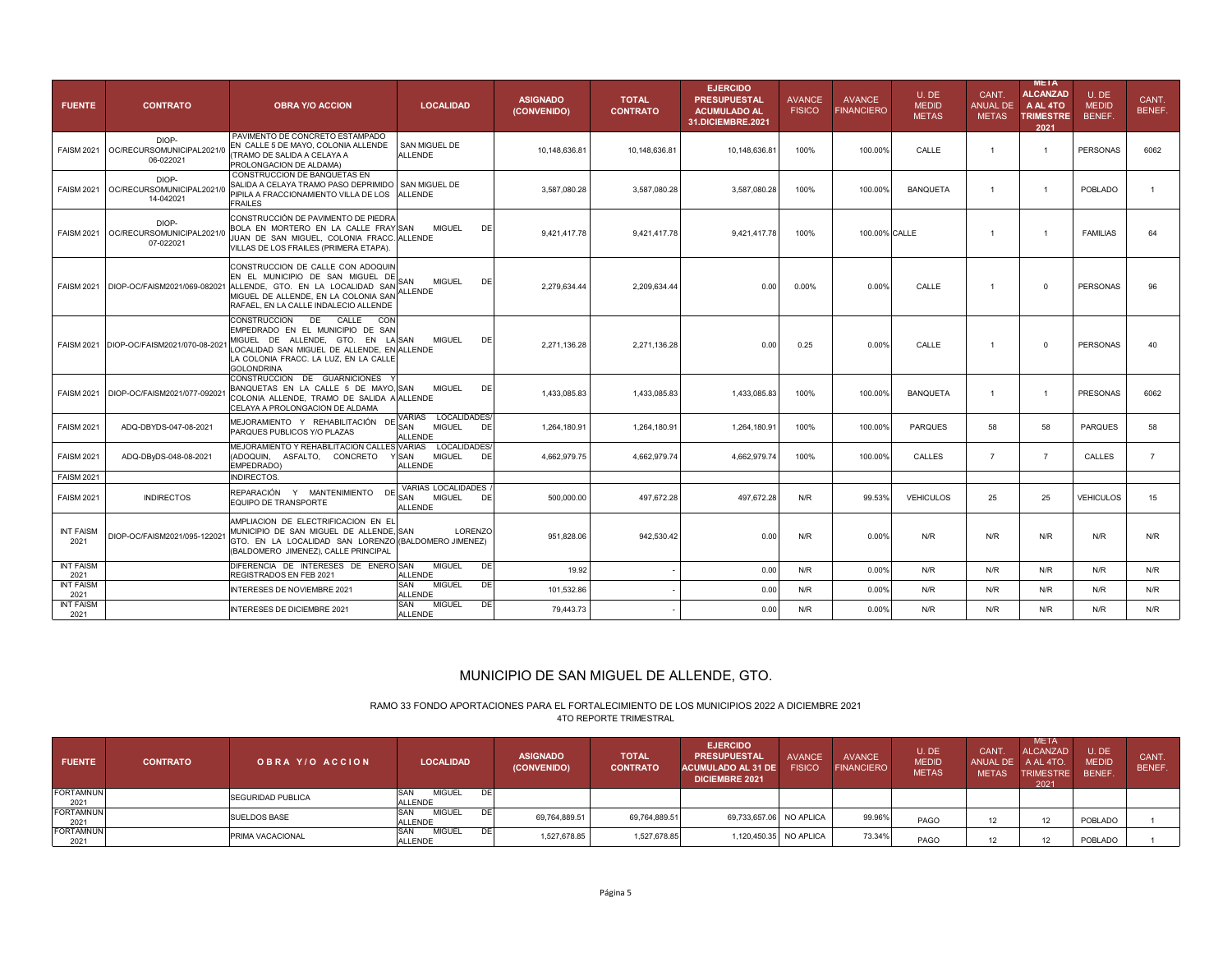| <b>FUENTE</b>                    | <b>CONTRATO</b>                                 | <b>OBRA Y/O ACCION</b>                                                                                                                                                                                                           | <b>LOCALIDAD</b>                                                    | <b>ASIGNADO</b><br>(CONVENIDO) | <b>TOTAL</b><br><b>CONTRATO</b> | <b>EJERCIDO</b><br><b>PRESUPUESTAL</b><br><b>ACUMULADO AL</b><br>31.DICIEMBRE.2021 | <b>AVANCE</b><br><b>FISICO</b> | <b>AVANCE</b><br><b>FINANCIERO</b> | U.DE<br><b>MEDID</b><br><b>METAS</b> | CANT.<br><b>ANUAL DE</b><br><b>METAS</b> | <b>META</b><br><b>ALCANZAD</b><br>A AL 4TO<br><b>TRIMESTRE</b><br>2021 | U.DE<br><b>MEDID</b><br>BENEF. | CANT.<br>BENEF. |
|----------------------------------|-------------------------------------------------|----------------------------------------------------------------------------------------------------------------------------------------------------------------------------------------------------------------------------------|---------------------------------------------------------------------|--------------------------------|---------------------------------|------------------------------------------------------------------------------------|--------------------------------|------------------------------------|--------------------------------------|------------------------------------------|------------------------------------------------------------------------|--------------------------------|-----------------|
| <b>FAISM 2021</b>                | DIOP-<br>OC/RECURSOMUNICIPAL2021/<br>06-022021  | PAVIMENTO DE CONCRETO ESTAMPADO<br>EN CALLE 5 DE MAYO, COLONIA ALLENDE<br>(TRAMO DE SALIDA A CELAYA A<br>PROLONGACION DE ALDAMA)                                                                                                 | SAN MIGUEL DE<br><b>ALLENDE</b>                                     | 10,148,636.81                  | 10,148,636.81                   | 10,148,636.81                                                                      | 100%                           | 100.00%                            | CALLE                                | $\overline{1}$                           | $\mathbf{1}$                                                           | <b>PERSONAS</b>                | 6062            |
| <b>FAISM 2021</b>                | DIOP-<br>OC/RECURSOMUNICIPAL2021/0<br>14-042021 | CONSTRUCCION DE BANQUETAS EN<br>SALIDA A CELAYA TRAMO PASO DEPRIMIDO<br>PIPILA A FRACCIONAMIENTO VILLA DE LOS<br><b>FRAILES</b>                                                                                                  | SAN MIGUEL DE<br><b>ALLENDE</b>                                     | 3,587,080.28                   | 3,587,080.28                    | 3,587,080.28                                                                       | 100%                           | 100.00%                            | <b>BANQUETA</b>                      | $\mathbf{1}$                             | $\mathbf{1}$                                                           | <b>POBLADO</b>                 | $\overline{1}$  |
| <b>FAISM 2021</b>                | DIOP-<br>OC/RECURSOMUNICIPAL2021/0<br>07-022021 | CONSTRUCCIÓN DE PAVIMENTO DE PIEDRA<br>BOLA EN MORTERO EN LA CALLE FRAYISAN<br>JUAN DE SAN MIGUEL, COLONIA FRACC. ALLENDE<br>VILLAS DE LOS FRAILES (PRIMERA ETAPA).                                                              | MIGUEL<br>DE                                                        | 9,421,417.78                   | 9,421,417.78                    | 9,421,417.78                                                                       | 100%                           | 100.00% CALLE                      |                                      | $\overline{1}$                           | $\mathbf{1}$                                                           | <b>FAMILIAS</b>                | 64              |
| <b>FAISM 2021</b>                |                                                 | CONSTRUCCION DE CALLE CON ADOQUIN<br>EN EL MUNICIPIO DE SAN MIGUEL DE<br>DIOP-OC/FAISM2021/069-082021 ALLENDE, GTO. EN LA LOCALIDAD SANUALLENDE<br>MIGUEL DE ALLENDE, EN LA COLONIA SAN<br>RAFAEL, EN LA CALLE INDALECIO ALLENDE | <b>MIGUEL</b><br>DE                                                 | 2,279,634.44                   | 2,209,634.44                    | 0.00                                                                               | 0.00%                          | 0.00%                              | CALLE                                | $\overline{1}$                           | $\Omega$                                                               | <b>PERSONAS</b>                | 96              |
|                                  | FAISM 2021 DIOP-OC/FAISM2021/070-08-202         | CONSTRUCCION DE CALLE<br>CON<br>EMPEDRADO EN EL MUNICIPIO DE SAN<br>MIGUEL DE ALLENDE, GTO. EN LA <sup>I</sup> SAN<br>LOCALIDAD SAN MIGUEL DE ALLENDE, EN ALLENDE<br>LA COLONIA FRACC. LA LUZ, EN LA CALLE<br><b>GOLONDRINA</b>  | MIGUEL<br>DE                                                        | 2.271.136.28                   | 2.271.136.28                    | 0.00                                                                               | 0.25                           | 0.00%                              | CALLE                                | $\overline{1}$                           | $\Omega$                                                               | <b>PERSONAS</b>                | 40              |
| <b>FAISM 2021</b>                | DIOP-OC/FAISM2021/077-09202                     | CONSTRUCCION DE GUARNICIONES<br>BANQUETAS EN LA CALLE 5 DE MAYO, SAN<br>COLONIA ALLENDE, TRAMO DE SALIDA A ALLENDE<br>CELAYA A PROLONGACION DE ALDAMA                                                                            | MIGUEL<br>DE                                                        | 1,433,085.83                   | 1,433,085.83                    | 1,433,085.83                                                                       | 100%                           | 100.00%                            | <b>BANQUETA</b>                      | $\overline{1}$                           | $\mathbf{1}$                                                           | <b>PRESONAS</b>                | 6062            |
| <b>FAISM 2021</b>                | ADQ-DBYDS-047-08-2021                           | MEJORAMIENTO Y REHABILITACIÓN DI<br>PARQUES PUBLICOS Y/O PLAZAS                                                                                                                                                                  | VARIAS LOCALIDADES/<br><b>MIGUEL</b><br>SAN<br>DE<br><b>ALLENDE</b> | 1,264,180.91                   | 1,264,180.91                    | 1,264,180.91                                                                       | 100%                           | 100.00%                            | <b>PARQUES</b>                       | 58                                       | 58                                                                     | <b>PARQUES</b>                 | 58              |
| <b>FAISM 2021</b>                | ADQ-DByDS-048-08-2021                           | MEJORAMIENTO Y REHABILITACION CALLES VARIAS LOCALIDADES/<br>(ADOQUIN, ASFALTO, CONCRETO<br>EMPEDRADO)                                                                                                                            | YİSAN<br><b>MIGUEL</b><br>DE<br><b>ALLENDE</b>                      | 4,662,979.75                   | 4,662,979.74                    | 4,662,979.74                                                                       | 100%                           | 100.00%                            | CALLES                               | $\overline{7}$                           | $\overline{7}$                                                         | CALLES                         | $\overline{7}$  |
| <b>FAISM 2021</b>                |                                                 | <b>INDIRECTOS.</b>                                                                                                                                                                                                               |                                                                     |                                |                                 |                                                                                    |                                |                                    |                                      |                                          |                                                                        |                                |                 |
| <b>FAISM 2021</b>                | <b>INDIRECTOS</b>                               | REPARACIÓN Y MANTENIMIENTO<br>EQUIPO DE TRANSPORTE                                                                                                                                                                               | VARIAS LOCALIDADES<br><b>MIGUEL</b><br>SAN<br>DE<br><b>ALLENDE</b>  | 500,000.00                     | 497,672.28                      | 497,672.28                                                                         | N/R                            | 99.53%                             | <b>VEHICULOS</b>                     | 25                                       | 25                                                                     | <b>VEHICULOS</b>               | 15              |
| <b>INT FAISM</b><br>2021         | DIOP-OC/FAISM2021/095-12202                     | AMPLIACION DE ELECTRIFICACION EN EL<br>MUNICIPIO DE SAN MIGUEL DE ALLENDE, SAN<br>GTO. EN LA LOCALIDAD SAN LORENZO (BALDOMERO JIMENEZ)<br>(BALDOMERO JIMENEZ), CALLE PRINCIPAL                                                   | LORENZO                                                             | 951,828.06                     | 942,530.42                      | 0.00                                                                               | N/R                            | 0.00%                              | N/R                                  | N/R                                      | N/R                                                                    | N/R                            | N/R             |
| <b>INT FAISM</b><br>2021         |                                                 | DIFERENCIA DE INTERESES DE ENERO SAN<br>REGISTRADOS EN FEB 2021                                                                                                                                                                  | <b>MIGUEL</b><br>DE<br><b>ALLENDE</b>                               | 19.92                          |                                 | 0.00                                                                               | N/R                            | 0.00%                              | N/R                                  | N/R                                      | N/R                                                                    | N/R                            | N/R             |
| <b>INT FAISM</b>                 |                                                 | INTERESES DE NOVIEMBRE 2021                                                                                                                                                                                                      | SAN<br><b>MIGUEL</b><br>DE<br><b>ALLENDE</b>                        | 101,532.86                     |                                 | 0.00                                                                               | N/R                            | 0.00%                              | N/R                                  | N/R                                      | N/R                                                                    | N/R                            | N/R             |
| 2021<br><b>INT FAISM</b><br>2021 |                                                 | <b>INTERESES DE DICIEMBRE 2021</b>                                                                                                                                                                                               | SAN<br><b>MIGUEL</b><br>DE<br><b>ALLENDE</b>                        | 79,443.73                      |                                 | 0.00                                                                               | N/R                            | 0.00%                              | N/R                                  | N/R                                      | N/R                                                                    | N/R                            | N/R             |

#### RAMO 33 FONDO APORTACIONES PARA EL FORTALECIMIENTO DE LOS MUNICIPIOS 2022 A DICIEMBRE 2021 4TO REPORTE TRIMESTRAL

| <b>FUENTE</b>            | <b>CONTRATO</b> | <b>OBRA Y/O ACCION</b>   | <b>LOCALIDAD</b>                       | <b>ASIGNADO</b><br>(CONVENIDO) | <b>TOTAL</b><br><b>CONTRATO</b> | <b>EJERCIDO</b><br><b>PRESUPUESTAL</b><br><b>ACUMULADO AL 31 DE</b><br><b>DICIEMBRE 2021</b> | <b>AVANCE</b><br><b>FISICO</b> | <b>AVANCE</b><br><b>FINANCIERO</b> | U.DE<br><b>MEDID</b><br><b>METAS</b> | <b>CANT</b><br><b>ANUAL DE</b><br><b>METAS</b> | <b>META</b><br><b>ALCANZAD</b><br>A AL 4TO.<br><b>TRIMESTRE</b><br>2021 | U.DE<br><b>MEDID</b><br><b>BENEF.</b> | CANT.<br><b>BENEF</b> |
|--------------------------|-----------------|--------------------------|----------------------------------------|--------------------------------|---------------------------------|----------------------------------------------------------------------------------------------|--------------------------------|------------------------------------|--------------------------------------|------------------------------------------------|-------------------------------------------------------------------------|---------------------------------------|-----------------------|
| <b>FORTAMNUN</b><br>2021 |                 | <b>SEGURIDAD PUBLICA</b> | <b>MIGUEL</b><br>SAN<br><b>ALLENDE</b> | DE                             |                                 |                                                                                              |                                |                                    |                                      |                                                |                                                                         |                                       |                       |
| <b>FORTAMNUN</b><br>2021 |                 | <b>SUELDOS BASE</b>      | <b>MIGUEL</b><br>SAN<br><b>ALLENDE</b> | <b>DEI</b><br>69,764,889.51    | 69.764.889.51                   | 69.733.657.06 NO APLICA                                                                      |                                | 99.96%                             | PAGO                                 |                                                |                                                                         | POBLADO                               |                       |
| <b>FORTAMNUN</b><br>2021 |                 | <b>PRIMA VACACIONAL</b>  | <b>MIGUEL</b><br>SAN<br><b>ALLENDE</b> | DEI<br>1,527,678.85            | 1.527.678.85                    | 1,120,450.35 NO APLICA                                                                       |                                | 73.34%                             | PAGO                                 |                                                |                                                                         | POBLADO                               |                       |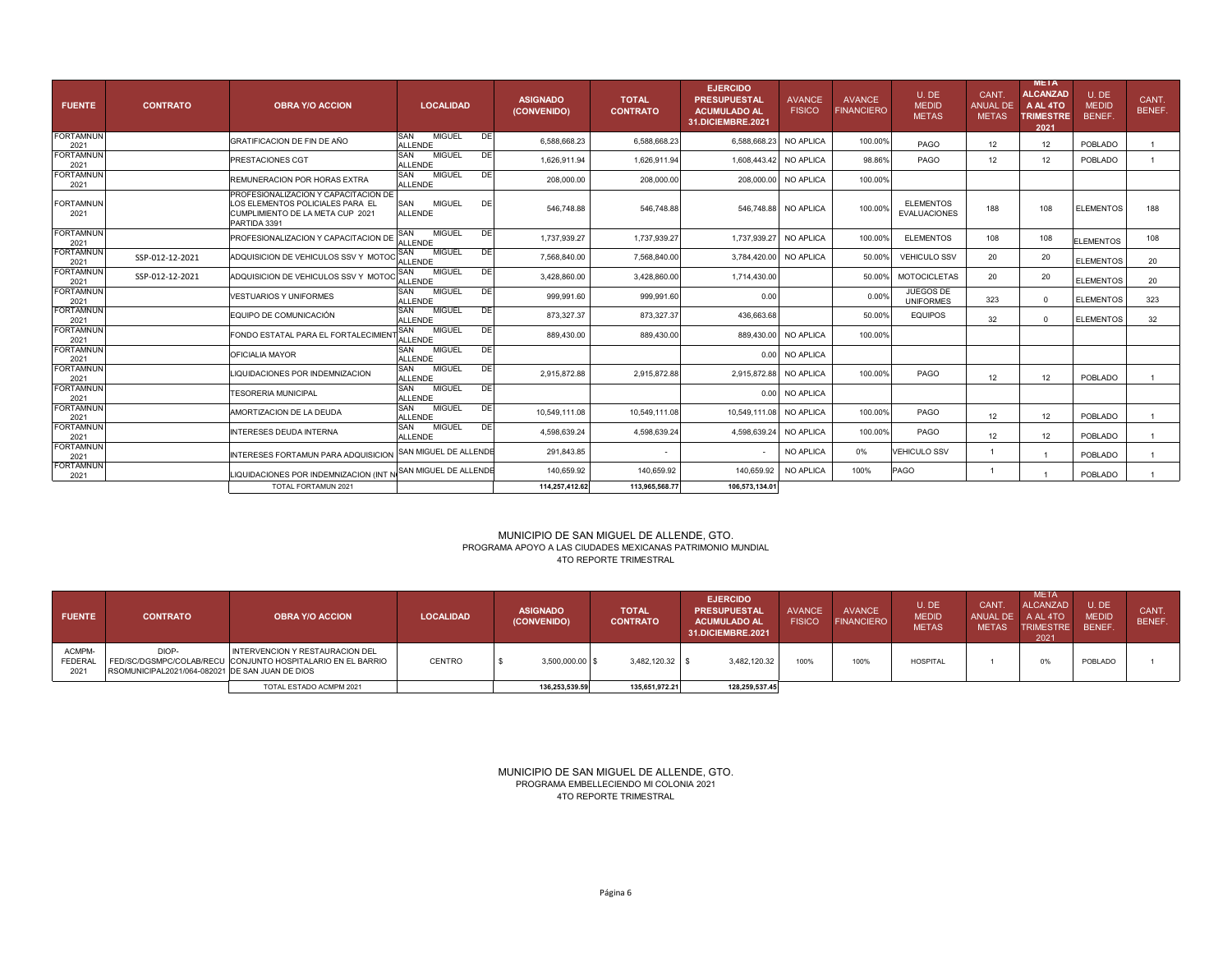| <b>FUENTE</b>            | <b>CONTRATO</b> | <b>OBRA Y/O ACCION</b>                                                                                                       | <b>LOCALIDAD</b>                                    | <b>ASIGNADO</b><br>(CONVENIDO) | <b>TOTAL</b><br><b>CONTRATO</b> | <b>EJERCIDO</b><br><b>PRESUPUESTAL</b><br><b>ACUMULADO AL</b><br>31.DICIEMBRE.2021 | <b>AVANCE</b><br><b>FISICO</b> | <b>AVANCE</b><br><b>FINANCIERO</b> | U. DE<br><b>MEDID</b><br><b>METAS</b>   | <b>CANT</b><br><b>ANUAL DE</b><br><b>METAS</b> | <b>META</b><br><b>ALCANZAD</b><br>A AL 4TO<br><b>TRIMESTRE</b><br>2021 | U.DE<br><b>MEDID</b><br>BENEF. | CANT.<br><b>BENEF.</b> |
|--------------------------|-----------------|------------------------------------------------------------------------------------------------------------------------------|-----------------------------------------------------|--------------------------------|---------------------------------|------------------------------------------------------------------------------------|--------------------------------|------------------------------------|-----------------------------------------|------------------------------------------------|------------------------------------------------------------------------|--------------------------------|------------------------|
| <b>FORTAMNUN</b><br>2021 |                 | <b>GRATIFICACION DE FIN DE AÑO</b>                                                                                           | <b>MIGUEL</b><br>SAN<br>DE<br><b>ALLENDE</b>        | 6.588.668.23                   | 6,588,668.23                    | 6,588,668.23                                                                       | <b>NO APLICA</b>               | 100.00%                            | PAGO                                    | 12                                             | 12                                                                     | POBLADO                        |                        |
| <b>FORTAMNUN</b><br>2021 |                 | PRESTACIONES CGT                                                                                                             | SAN<br><b>MIGUEL</b><br>DE<br><b>ALLENDE</b>        | 1,626,911.94                   | 1,626,911.94                    | 1,608,443.42                                                                       | NO APLICA                      | 98.86%                             | PAGO                                    | 12                                             | 12                                                                     | POBLADO                        |                        |
| <b>FORTAMNUN</b><br>2021 |                 | REMUNERACION POR HORAS EXTRA                                                                                                 | SAN<br><b>MIGUEL</b><br><b>DE</b><br><b>ALLENDE</b> | 208,000.00                     | 208,000.00                      | 208,000.00                                                                         | NO APLICA                      | 100.00%                            |                                         |                                                |                                                                        |                                |                        |
| <b>FORTAMNUN</b><br>2021 |                 | PROFESIONALIZACION Y CAPACITACION DE<br>LOS ELEMENTOS POLICIALES PARA EL<br>CUMPLIMIENTO DE LA META CUP 2021<br>PARTIDA 3391 | SAN<br><b>MIGUEL</b><br>DE<br><b>ALLENDE</b>        | 546.748.88                     | 546.748.88                      | 546.748.88                                                                         | NO APLICA                      | 100.00%                            | <b>FLEMENTOS</b><br><b>EVALUACIONES</b> | 188                                            | 108                                                                    | <b>ELEMENTOS</b>               | 188                    |
| <b>FORTAMNUN</b><br>2021 |                 | PROFESIONALIZACION Y CAPACITACION DE                                                                                         | SAN<br><b>MIGUEL</b><br>DE<br><b>ALLENDE</b>        | 1,737,939.27                   | 1,737,939.27                    | 1,737,939.27                                                                       | NO APLICA                      | 100.00%                            | <b>ELEMENTOS</b>                        | 108                                            | 108                                                                    | <b>ELEMENTOS</b>               | 108                    |
| <b>FORTAMNUN</b><br>2021 | SSP-012-12-2021 | ADQUISICION DE VEHICULOS SSV Y MOTOC                                                                                         | <b>DE</b><br>SAN<br><b>MIGUEL</b><br><b>ALLENDE</b> | 7,568,840.00                   | 7,568,840.00                    | 3,784,420.00                                                                       | NO APLICA                      | 50.00%                             | <b>VEHICULO SSV</b>                     | 20                                             | 20                                                                     | <b>ELEMENTOS</b>               | 20                     |
| <b>FORTAMNUN</b><br>2021 | SSP-012-12-2021 | ADQUISICION DE VEHICULOS SSV Y MOT                                                                                           | SAN<br><b>MIGUEL</b><br>DE<br><b>ALLENDE</b>        | 3,428,860.00                   | 3,428,860.00                    | 1,714,430.00                                                                       |                                | 50.00%                             | <b>MOTOCICLETAS</b>                     | 20                                             | 20                                                                     | <b>ELEMENTOS</b>               | 20                     |
| <b>FORTAMNUN</b><br>2021 |                 | <b>VESTUARIOS Y UNIFORMES</b>                                                                                                | SAN<br><b>MIGUEL</b><br>DE<br><b>ALLENDE</b>        | 999.991.60                     | 999.991.60                      | 0.00                                                                               |                                | 0.00%                              | JUEGOS DE<br><b>UNIFORMES</b>           | 323                                            | $\Omega$                                                               | <b>ELEMENTOS</b>               | 323                    |
| <b>FORTAMNUN</b><br>2021 |                 | EQUIPO DE COMUNICACIÓN                                                                                                       | SAN<br><b>MIGUEL</b><br>DE<br><b>ALLENDE</b>        | 873.327.37                     | 873.327.37                      | 436.663.68                                                                         |                                | 50.00%                             | <b>EQUIPOS</b>                          | 32                                             | $\Omega$                                                               | <b>ELEMENTOS</b>               | 32                     |
| <b>FORTAMNUN</b><br>2021 |                 | FONDO ESTATAL PARA EL FORTALECIMIEN                                                                                          | SAN<br><b>MIGUEL</b><br>DE<br><b>ALLENDE</b>        | 889.430.00                     | 889.430.00                      | 889,430.00                                                                         | NO APLICA                      | 100.00%                            |                                         |                                                |                                                                        |                                |                        |
| <b>FORTAMNUN</b><br>2021 |                 | OFICIALIA MAYOR                                                                                                              | <b>MIGUEL</b><br>SAN<br>DE<br><b>ALLENDE</b>        |                                |                                 | 0.00                                                                               | NO APLICA                      |                                    |                                         |                                                |                                                                        |                                |                        |
| <b>FORTAMNUN</b><br>2021 |                 | LIQUIDACIONES POR INDEMNIZACION                                                                                              | <b>SAN</b><br><b>MIGUEL</b><br>DE<br><b>ALLENDE</b> | 2.915.872.88                   | 2,915,872.88                    | 2,915,872.88                                                                       | NO APLICA                      | 100.00%                            | PAGO                                    | 12                                             | 12                                                                     | POBLADO                        |                        |
| <b>FORTAMNUN</b><br>2021 |                 | <b>TESORERIA MUNICIPAL</b>                                                                                                   | SAN<br><b>MIGUEL</b><br>DE<br><b>ALLENDE</b>        |                                |                                 | 0.00                                                                               | NO APLICA                      |                                    |                                         |                                                |                                                                        |                                |                        |
| <b>FORTAMNUN</b><br>2021 |                 | AMORTIZACION DE LA DEUDA                                                                                                     | SAN<br><b>MIGUEL</b><br>Q<br><b>ALLENDE</b>         | 10,549,111.08                  | 10.549.111.08                   | 10,549,111.08                                                                      | NO APLICA                      | 100.00%                            | PAGO                                    | 12                                             | 12                                                                     | POBLADO                        |                        |
| <b>FORTAMNUN</b><br>2021 |                 | <b>INTERESES DEUDA INTERNA</b>                                                                                               | SAN<br><b>MIGUEL</b><br>DE<br><b>ALLENDE</b>        | 4.598.639.24                   | 4,598,639.24                    | 4,598,639.24                                                                       | NO APLICA                      | 100.00%                            | PAGO                                    | 12                                             | 12                                                                     | POBLADO                        |                        |
| <b>FORTAMNUN</b><br>2021 |                 | INTERESES FORTAMUN PARA ADQUISICION                                                                                          | SAN MIGUEL DE ALLENDE                               | 291,843.85                     |                                 | $\sim$                                                                             | NO APLICA                      | 0%                                 | <b>VEHICULO SSV</b>                     |                                                |                                                                        | POBLADO                        |                        |
| <b>FORTAMNUN</b><br>2021 |                 | LIQUIDACIONES POR INDEMNIZACION (INT N                                                                                       | SAN MIGUEL DE ALLENDE                               | 140.659.92                     | 140.659.92                      | 140.659.92                                                                         | NO APLICA                      | 100%                               | <b>PAGO</b>                             | -1                                             |                                                                        | POBLADO                        |                        |
|                          |                 | TOTAL FORTAMUN 2021                                                                                                          |                                                     | 114,257,412.62                 | 113,965,568.77                  | 106,573,134.01                                                                     |                                |                                    |                                         |                                                |                                                                        |                                |                        |

# MUNICIPIO DE SAN MIGUEL DE ALLENDE, GTO. PROGRAMA APOYO A LAS CIUDADES MEXICANAS PATRIMONIO MUNDIAL 4TO REPORTE TRIMESTRAL

| <b>FUENTE</b>                    | <b>CONTRATO</b>                                          | <b>OBRA Y/O ACCION</b>                                                                         | <b>LOCALIDAD</b> | <b>ASIGNADO</b><br>(CONVENIDO) | <b>TOTAL</b><br><b>CONTRATO</b> | <b>EJERCIDO</b><br><b>PRESUPUESTAL</b><br><b>ACUMULADO AL</b><br>31.DICIEMBRE.2021 | AVANCE<br><b>FISICO</b> | <b>AVANCE</b><br><b>FINANCIERO</b> | U.DE<br><b>MEDID</b><br><b>METAS</b> | <b>CANT</b><br>ANUAL DE<br><b>METAS</b> | <b>META</b><br><b>ALCANZAD</b><br>A AL 4TO<br><b>TRIMESTRE</b><br>2021 | U.DE.<br><b>MEDID</b><br>BENEF. | CANT<br><b>BENEF</b> |
|----------------------------------|----------------------------------------------------------|------------------------------------------------------------------------------------------------|------------------|--------------------------------|---------------------------------|------------------------------------------------------------------------------------|-------------------------|------------------------------------|--------------------------------------|-----------------------------------------|------------------------------------------------------------------------|---------------------------------|----------------------|
| ACMPM-<br><b>FEDERAL</b><br>202' | DIOP-<br>RSOMUNICIPAL2021/064-082021 DE SAN JUAN DE DIOS | INTERVENCION Y RESTAURACION DEL<br>FED/SC/DGSMPC/COLAB/RECU CONJUNTO HOSPITALARIO EN EL BARRIO | <b>CENTRO</b>    | $3,500,000.00$ \$              | 3.482.120.32                    | 3,482,120.32                                                                       | 100%                    | 100%                               | HOSPITAL                             |                                         | 0%                                                                     | POBLADO                         |                      |
|                                  |                                                          | TOTAL ESTADO ACMPM 2021                                                                        |                  | 136,253,539.59                 | 135,651,972.21                  | 128,259,537.45                                                                     |                         |                                    |                                      |                                         |                                                                        |                                 |                      |

4TO REPORTE TRIMESTRAL MUNICIPIO DE SAN MIGUEL DE ALLENDE, GTO. PROGRAMA EMBELLECIENDO MI COLONIA 2021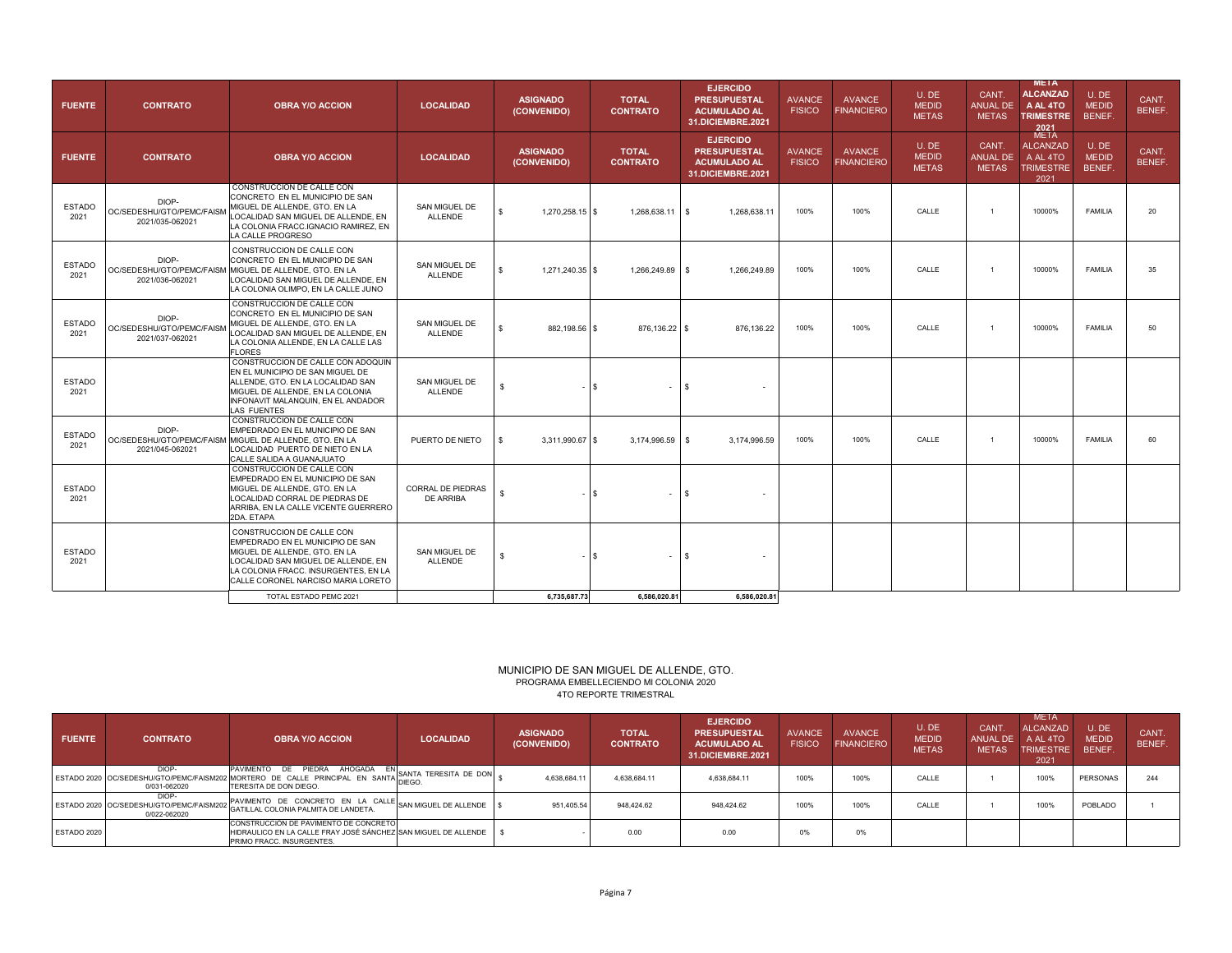| <b>FUENTE</b>         | <b>CONTRATO</b>                                       | <b>OBRA Y/O ACCION</b>                                                                                                                                                                                              | <b>LOCALIDAD</b>                      | <b>ASIGNADO</b><br>(CONVENIDO)        | <b>TOTAL</b><br><b>CONTRATO</b> | <b>EJERCIDO</b><br><b>PRESUPUESTAL</b><br><b>ACUMULADO AL</b><br>31.DICIEMBRE.2021 | <b>AVANCE</b><br><b>FISICO</b> | <b>AVANCE</b><br><b>FINANCIERO</b> | U.DE<br><b>MEDID</b><br><b>METAS</b>  | CANT.<br><b>ANUAL DE</b><br><b>METAS</b> | <b>META</b><br><b>ALCANZAD</b><br>A AL 4TO<br><b>TRIMESTRE</b><br><b>2021</b><br>META | U.DE<br><b>MEDID</b><br>BENEF.  | CANT.<br>BENEF. |
|-----------------------|-------------------------------------------------------|---------------------------------------------------------------------------------------------------------------------------------------------------------------------------------------------------------------------|---------------------------------------|---------------------------------------|---------------------------------|------------------------------------------------------------------------------------|--------------------------------|------------------------------------|---------------------------------------|------------------------------------------|---------------------------------------------------------------------------------------|---------------------------------|-----------------|
| <b>FUENTE</b>         | <b>CONTRATO</b>                                       | <b>OBRA Y/O ACCION</b>                                                                                                                                                                                              | <b>LOCALIDAD</b>                      | <b>ASIGNADO</b><br>(CONVENIDO)        | <b>TOTAL</b><br><b>CONTRATO</b> | <b>EJERCIDO</b><br><b>PRESUPUESTAL</b><br><b>ACUMULADO AL</b><br>31.DICIEMBRE.2021 | <b>AVANCE</b><br><b>FISICO</b> | <b>AVANCE</b><br><b>FINANCIERO</b> | U. DE<br><b>MEDID</b><br><b>METAS</b> | CANT.<br><b>ANUAL DE</b><br><b>METAS</b> | <b>ALCANZAD</b><br>A AL 4TO<br><b>TRIMESTRE</b><br>2021                               | U. DE<br><b>MEDID</b><br>BENEF. | CANT.<br>BENEF. |
| <b>ESTADO</b><br>2021 | DIOP-<br>OC/SEDESHU/GTO/PEMC/FAISM<br>2021/035-062021 | CONSTRUCCION DE CALLE CON<br>CONCRETO EN EL MUNICIPIO DE SAN<br>MIGUEL DE ALLENDE, GTO. EN LA<br>LOCALIDAD SAN MIGUEL DE ALLENDE. EN<br>LA COLONIA FRACC.IGNACIO RAMIREZ. EN<br>LA CALLE PROGRESO                   | SAN MIGUEL DE<br><b>ALLENDE</b>       | $\mathbb{S}$<br>1,270,258.15 \$       | $1,268,638.11$ \$               | 1.268.638.11                                                                       | 100%                           | 100%                               | CALLE                                 | $\mathbf{1}$                             | 10000%                                                                                | <b>FAMILIA</b>                  | 20              |
| <b>ESTADO</b><br>2021 | DIOP-<br>OC/SEDESHU/GTO/PEMC/FAISM<br>2021/036-062021 | CONSTRUCCION DE CALLE CON<br>CONCRETO EN EL MUNICIPIO DE SAN<br>MIGUEL DE ALLENDE, GTO. EN LA<br>LOCALIDAD SAN MIGUEL DE ALLENDE. EN<br>LA COLONIA OLIMPO. EN LA CALLE JUNO                                         | SAN MIGUEL DE<br><b>ALLENDE</b>       | 1,271,240.35 \$<br>$\mathbf{s}$       | 1,266,249.89 \$                 | 1,266,249.89                                                                       | 100%                           | 100%                               | CALLE                                 | $\mathbf{1}$                             | 10000%                                                                                | <b>FAMILIA</b>                  | 35              |
| <b>ESTADO</b><br>2021 | DIOP-<br>OC/SEDESHU/GTO/PEMC/FAISM<br>2021/037-062021 | CONSTRUCCION DE CALLE CON<br>CONCRETO EN EL MUNICIPIO DE SAN<br>MIGUEL DE ALLENDE, GTO. EN LA<br>LOCALIDAD SAN MIGUEL DE ALLENDE, EN<br>LA COLONIA ALLENDE, EN LA CALLE LAS<br><b>FLORES</b>                        | SAN MIGUEL DE<br><b>ALLENDE</b>       | $\mathbf{\hat{x}}$                    | 882,198.56 \$<br>876,136.22 \$  | 876,136.22                                                                         | 100%                           | 100%                               | CALLE                                 | $\mathbf{1}$                             | 10000%                                                                                | <b>FAMILIA</b>                  | 50              |
| <b>ESTADO</b><br>2021 |                                                       | CONSTRUCCION DE CALLE CON ADOQUIN<br>EN EL MUNICIPIO DE SAN MIGUEL DE<br>ALLENDE, GTO. EN LA LOCALIDAD SAN<br>MIGUEL DE ALLENDE, EN LA COLONIA<br>INFONAVIT MALANQUIN, EN EL ANDADOR<br>LAS FUENTES                 | SAN MIGUEL DE<br><b>ALLENDE</b>       | \$                                    | $\sqrt{s}$                      | $\mathbf{s}$                                                                       |                                |                                    |                                       |                                          |                                                                                       |                                 |                 |
| <b>ESTADO</b><br>2021 | DIOP-<br>2021/045-062021                              | CONSTRUCCION DE CALLE CON<br>EMPEDRADO EN EL MUNICIPIO DE SAN<br>OC/SEDESHU/GTO/PEMC/FAISM MIGUEL DE ALLENDE, GTO. EN LA<br>LOCALIDAD PUERTO DE NIETO EN LA<br>CALLE SALIDA A GUANAJUATO                            | PUERTO DE NIETO                       | 3,311,990.67 \$<br>$\mathbf{\hat{z}}$ | 3,174,996.59 \$                 | 3,174,996.59                                                                       | 100%                           | 100%                               | CALLE                                 | $\mathbf{1}$                             | 10000%                                                                                | <b>FAMILIA</b>                  | 60              |
| <b>ESTADO</b><br>2021 |                                                       | CONSTRUCCION DE CALLE CON<br>EMPEDRADO EN EL MUNICIPIO DE SAN<br>MIGUEL DE ALLENDE. GTO. EN LA<br>LOCALIDAD CORRAL DE PIEDRAS DE<br>ARRIBA, EN LA CALLE VICENTE GUERRERO<br>2DA, ETAPA                              | CORRAL DE PIEDRAS<br><b>DE ARRIBA</b> | \$.                                   | l S                             | $\frac{3}{2}$                                                                      |                                |                                    |                                       |                                          |                                                                                       |                                 |                 |
| <b>ESTADO</b><br>2021 |                                                       | CONSTRUCCION DE CALLE CON<br>EMPEDRADO EN EL MUNICIPIO DE SAN<br>MIGUEL DE ALLENDE. GTO. EN LA<br>LOCALIDAD SAN MIGUEL DE ALLENDE. EN<br>LA COLONIA FRACC. INSURGENTES. EN LA<br>CALLE CORONEL NARCISO MARIA LORETO | SAN MIGUEL DE<br><b>ALLENDE</b>       | $\mathbf{s}$                          | l \$                            | <b>S</b>                                                                           |                                |                                    |                                       |                                          |                                                                                       |                                 |                 |
|                       |                                                       | TOTAL ESTADO PEMC 2021                                                                                                                                                                                              |                                       | 6,735,687.73                          | 6,586,020.81                    | 6.586.020.81                                                                       |                                |                                    |                                       |                                          |                                                                                       |                                 |                 |

#### 4TO REPORTE TRIMESTRAL MUNICIPIO DE SAN MIGUEL DE ALLENDE, GTO. PROGRAMA EMBELLECIENDO MI COLONIA 2020

| <b>FUENTE</b> | <b>CONTRATO</b>       | <b>OBRA Y/O ACCION</b>                                                                                                                       | <b>LOCALIDAD</b>                | <b>ASIGNADO</b><br>(CONVENIDO) | <b>TOTAL</b><br><b>CONTRATO</b> | <b>EJERCIDO</b><br><b>PRESUPUESTAL</b><br><b>ACUMULADO AL</b><br>31.DICIEMBRE.2021 | <b>AVANCE</b><br><b>FISICO</b> | <b>AVANCE</b><br><b>FINANCIERO</b> | U.DE<br><b>MEDID</b><br><b>METAS</b> | <b>CANT</b><br>ANUAL DE<br><b>METAS</b> | <b>META</b><br><b>ALCANZAD</b><br>A AL 4TO<br><b>TRIMESTRE</b><br>2021 | U.DE<br><b>MEDID</b><br>BENEF. | CANT.<br>BENEF. |
|---------------|-----------------------|----------------------------------------------------------------------------------------------------------------------------------------------|---------------------------------|--------------------------------|---------------------------------|------------------------------------------------------------------------------------|--------------------------------|------------------------------------|--------------------------------------|-----------------------------------------|------------------------------------------------------------------------|--------------------------------|-----------------|
|               | DIOP-<br>0/031-062020 | AHOGADA<br>PIEDRA<br>PAVIMENTO DE<br>ESTADO 2020 OC/SEDESHU/GTO/PEMC/FAISM202 MORTERO DE CALLE PRINCIPAL EN SANTA <br>TERESITA DE DON DIEGO. | SANTA TERESITA DE DON<br>DIEGO. | 4,638,684.11                   | 4,638,684.11                    | 4,638,684.11                                                                       | 100%                           | 100%                               | CALLE                                |                                         | 100%                                                                   | PERSONAS                       | 244             |
|               | DIOP-<br>0/022-062020 | PAVIMENTO DE CONCRETO EN LA CALLE<br>ESTADO 2020 OC/SEDESHU/GTO/PEMC/FAISM202 GATILLAL COLONIA PALMITA DE LANDETA.                           | SAN MIGUEL DE ALLENDE           | 951,405.54                     | 948.424.62                      | 948.424.62                                                                         | 100%                           | 100%                               | CALLE                                |                                         | 100%                                                                   | POBLADO                        |                 |
| ESTADO 2020   |                       | CONSTRUCCIÓN DE PAVIMENTO DE CONCRETO<br>HIDRAULICO EN LA CALLE FRAY JOSÉ SÁNCHEZ SAN MIGUEL DE ALLENDE<br>PRIMO FRACC. INSURGENTES.         |                                 |                                | 0.00                            | 0.00                                                                               | 0%                             | 0%                                 |                                      |                                         |                                                                        |                                |                 |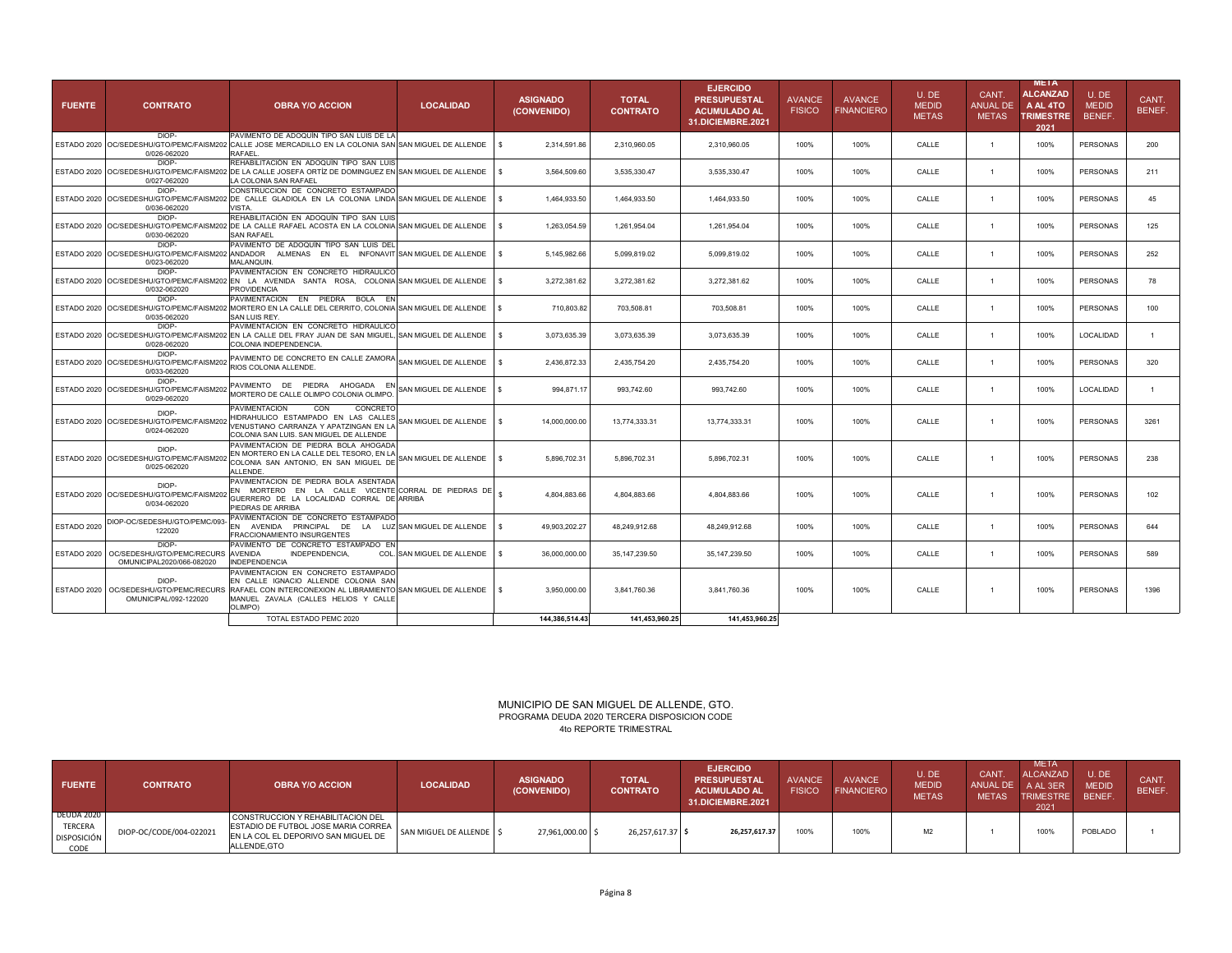| <b>FUENTE</b> | <b>CONTRATO</b>                                                                | <b>OBRA Y/O ACCION</b>                                                                                                                                                                                    | <b>LOCALIDAD</b>           | <b>ASIGNADO</b><br>(CONVENIDO) | <b>TOTAL</b><br><b>CONTRATO</b> | <b>EJERCIDO</b><br><b>PRESUPUESTAL</b><br><b>ACUMULADO AL</b><br><b>31.DICIEMBRE.2021</b> | <b>AVANCE</b><br><b>FISICO</b> | <b>AVANCE</b><br><b>FINANCIERO</b> | U.DE<br><b>MEDID</b><br><b>METAS</b> | CANT.<br>ANUAL DE<br><b>METAS</b> | META<br><b>ALCANZAD</b><br>A AL 4TO<br><b>TRIMESTRE</b><br>2021 | U.DE<br><b>MEDID</b><br>BENEF. | CANT.<br>BENEF. |
|---------------|--------------------------------------------------------------------------------|-----------------------------------------------------------------------------------------------------------------------------------------------------------------------------------------------------------|----------------------------|--------------------------------|---------------------------------|-------------------------------------------------------------------------------------------|--------------------------------|------------------------------------|--------------------------------------|-----------------------------------|-----------------------------------------------------------------|--------------------------------|-----------------|
|               | DIOP-<br>0/026-062020                                                          | PAVIMENTO DE ADOQUÍN TIPO SAN LUIS DE LA<br>ESTADO 2020 OC/SEDESHU/GTO/PEMC/FAISM202 CALLE JOSE MERCADILLO EN LA COLONIA SAN SAN MIGUEL DE ALLENDE   \$<br><b>RAFAEL</b>                                  |                            | 2,314,591.86                   | 2,310,960.05                    | 2,310,960.05                                                                              | 100%                           | 100%                               | CALLE                                | 1                                 | 100%                                                            | <b>PERSONAS</b>                | 200             |
|               | DIOP-<br>0/027-062020                                                          | REHABILITACIÓN EN ADOQUÍN TIPO SAN LUIS<br>ESTADO 2020   OC/SEDESHU/GTO/PEMC/FAISM202   DE LA CALLE JOSEFA ORTÍZ DE DOMINGUEZ EN SAN MIGUEL DE ALLENDE<br>LA COLONIA SAN RAFAEL                           |                            | 3,564,509.60<br>-S             | 3,535,330.47                    | 3,535,330.47                                                                              | 100%                           | 100%                               | CALLE                                | $\overline{1}$                    | 100%                                                            | <b>PERSONAS</b>                | 211             |
|               | DIOP-<br>0/036-062020                                                          | CONSTRUCCION DE CONCRETO ESTAMPADO<br>ESTADO 2020 OC/SEDESHU/GTO/PEMC/FAISM202 DE CALLE GLADIOLA EN LA COLONIA LINDA SAN MIGUEL DE ALLENDE   \$<br>VISTA.                                                 |                            | 1,464,933.50                   | 1,464,933.50                    | 1,464,933.50                                                                              | 100%                           | 100%                               | CALLE                                | $\overline{1}$                    | 100%                                                            | <b>PERSONAS</b>                | 45              |
|               | DIOP-<br>0/030-062020                                                          | REHABILITACIÓN EN ADOQUÍN TIPO SAN LUIS<br>ESTADO 2020   OC/SEDESHU/GTO/PEMC/FAISM202   DE LA CALLE RAFAEL ACOSTA EN LA COLONIA SAN MIGUEL DE ALLENDE<br><b>SAN RAFAEL</b>                                |                            | 1,263,054.59                   | 1,261,954.04                    | 1,261,954.04                                                                              | 100%                           | 100%                               | CALLE                                | $\overline{1}$                    | 100%                                                            | <b>PERSONAS</b>                | 125             |
|               | DIOP-<br>ESTADO 2020 OC/SEDESHU/GTO/PEMC/FAISM20<br>0/023-062020               | PAVIMENTO DE ADOQUÍN TIPO SAN LUIS DEL<br>ANDADOR ALMENAS EN EL INFONAVIT SAN MIGUEL DE ALLENDE \$<br><b>MALANQUIN</b>                                                                                    |                            | 5,145,982.66                   | 5,099,819.02                    | 5,099,819.02                                                                              | 100%                           | 100%                               | CALLE                                | $\mathbf{1}$                      | 100%                                                            | <b>PERSONAS</b>                | 252             |
|               | DIOP-<br>0/032-062020                                                          | PAVIMENTACION EN CONCRETO HIDRAULICO<br>ESTADO 2020 OC/SEDESHU/GTO/PEMC/FAISM202 EN LA AVENIDA SANTA ROSA, COLONIA SAN MIGUEL DE ALLENDE<br><b>PROVIDENCIA</b>                                            |                            | -S<br>3,272,381.62             | 3,272,381.62                    | 3,272,381.62                                                                              | 100%                           | 100%                               | CALLE                                | $\overline{1}$                    | 100%                                                            | <b>PERSONAS</b>                | 78              |
|               | DIOP-<br>0/035-062020                                                          | PAVIMENTACION EN PIEDRA BOLA EN<br>ESTADO 2020   OC/SEDESHU/GTO/PEMC/FAISM202   MORTERO EN LA CALLE DEL CERRITO, COLONIA SAN MIGUEL DE ALLENDE   \$<br><b>SAN LUIS REY</b>                                |                            | 710,803.82                     | 703,508.81                      | 703,508.81                                                                                | 100%                           | 100%                               | CALLE                                | $\overline{1}$                    | 100%                                                            | <b>PERSONAS</b>                | 100             |
|               | DIOP-<br>0/028-062020                                                          | PAVIMENTACION EN CONCRETO HIDRAULICO<br>ESTADO 2020   OC/SEDESHU/GTO/PEMC/FAISM202 EN LA CALLE DEL FRAY JUAN DE SAN MIGUEL, SAN MIGUEL DE ALLENDE<br>COLONIA INDEPENDENCIA                                |                            | l S<br>3,073,635.39            | 3,073,635.39                    | 3,073,635.39                                                                              | 100%                           | 100%                               | CALLE                                | $\overline{1}$                    | 100%                                                            | LOCALIDAD                      | $\overline{1}$  |
|               | DIOP-<br>ESTADO 2020 OC/SEDESHU/GTO/PEMC/FAISM20<br>0/033-062020               | PAVIMENTO DE CONCRETO EN CALLE ZAMORA SAN MIGUEL DE ALLENDE<br>RIOS COLONIA ALLENDE.                                                                                                                      |                            | 2,436,872.33<br>l S            | 2,435,754.20                    | 2,435,754.20                                                                              | 100%                           | 100%                               | CALLE                                | $\mathbf{1}$                      | 100%                                                            | <b>PERSONAS</b>                | 320             |
|               | DIOP-<br>ESTADO 2020 OC/SEDESHU/GTO/PEMC/FAISM20<br>0/029-062020               | PAVIMENTO DE PIEDRA AHOGADA EN SAN MIGUEL DE ALLENDE<br>MORTERO DE CALLE OLIMPO COLONIA OLIMPO.                                                                                                           |                            | 994,871.17                     | 993,742.60                      | 993,742.60                                                                                | 100%                           | 100%                               | CALLE                                | $\overline{1}$                    | 100%                                                            | LOCALIDAD                      | $\overline{1}$  |
|               | DIOP-<br>ESTADO 2020   OC/SEDESHU/GTO/PEMC/FAISM20<br>0/024-062020             | PAVIMENTACION<br>CON<br>CONCRETO<br>HIDRAHULICO ESTAMPADO EN LAS CALLES<br>VENUSTIANO CARRANZA Y APATZINGAN EN LA<br>COLONIA SAN LUIS. SAN MIGUEL DE ALLENDE                                              | SAN MIGUEL DE ALLENDE \$   | 14,000,000.00                  | 13,774,333.31                   | 13,774,333.31                                                                             | 100%                           | 100%                               | CALLE                                | $\mathbf{1}$                      | 100%                                                            | <b>PERSONAS</b>                | 3261            |
|               | DIOP-<br>ESTADO 2020   OC/SEDESHU/GTO/PEMC/FAISM20<br>0/025-062020             | PAVIMENTACION DE PIEDRA BOLA AHOGADA<br>EN MORTERO EN LA CALLE DEL TESORO, EN LA<br>COLONIA SAN ANTONIO, EN SAN MIGUEL DE SAN MIGUEL DE ALLENDE \$<br>ALLENDE.                                            |                            | 5,896,702.31                   | 5,896,702.31                    | 5,896,702.31                                                                              | 100%                           | 100%                               | CALLE                                | -1                                | 100%                                                            | <b>PERSONAS</b>                | 238             |
|               | DIOP-<br>0/034-062020                                                          | PAVIMENTACION DE PIEDRA BOLA ASENTADA<br>ESTADO 2020 OC/SEDESHU/GTO/PEMC/FAISM202 CH MORTERO EN LA CALLE VICENTE CORRAL DE PIEDRAS DE S<br>GUERRERO DE LA LOCALIDAD CORRAL DE ARRIBA<br>PIEDRAS DE ARRIBA |                            | 4,804,883.66                   | 4,804,883.66                    | 4,804,883.66                                                                              | 100%                           | 100%                               | CALLE                                | $\overline{1}$                    | 100%                                                            | <b>PERSONAS</b>                | 102             |
| ESTADO 2020   | DIOP-OC/SEDESHU/GTO/PEMC/093<br>122020                                         | PAVIMENTACION DE CONCRETO ESTAMPADO<br>EN AVENIDA PRINCIPAL DE LA LUZ SAN MIGUEL DE ALLENDE   \$<br><b>FRACCIONAMIENTO INSURGENTES</b>                                                                    |                            | 49,903,202.27                  | 48,249,912.68                   | 48,249,912.68                                                                             | 100%                           | 100%                               | CALLE                                | $\overline{1}$                    | 100%                                                            | <b>PERSONAS</b>                | 644             |
|               | DIOP-<br>ESTADO 2020   OC/SEDESHU/GTO/PEMC/RECURS<br>OMUNICIPAL2020/066-082020 | PAVIMENTO DE CONCRETO ESTAMPADO EN<br><b>AVENIDA</b><br>INDEPENDENCIA,<br><b>INDEPENDENCIA</b>                                                                                                            | COL. SAN MIGUEL DE ALLENDE | -S<br>36,000,000.00            | 35, 147, 239.50                 | 35, 147, 239.50                                                                           | 100%                           | 100%                               | CALLE                                | $\overline{1}$                    | 100%                                                            | <b>PERSONAS</b>                | 589             |
|               | DIOP-<br>ESTADO 2020   OC/SEDESHU/GTO/PEMC/RECURS<br>OMUNICIPAL/092-122020     | PAVIMENTACION EN CONCRETO ESTAMPADO<br>EN CALLE IGNACIO ALLENDE COLONIA SAN<br>RAFAEL CON INTERCONEXION AL LIBRAMIENTO SAN MIGUEL DE ALLENDE<br>MANUEL ZAVALA (CALLES HELIOS Y CALLE)<br>OLIMPO)          |                            | 3,950,000.00                   | 3,841,760.36                    | 3,841,760.36                                                                              | 100%                           | 100%                               | CALLE                                | -1                                | 100%                                                            | <b>PERSONAS</b>                | 1396            |
|               |                                                                                | TOTAL ESTADO PEMC 2020                                                                                                                                                                                    |                            | 144,386,514.43                 | 141,453,960.25                  | 141,453,960.25                                                                            |                                |                                    |                                      |                                   |                                                                 |                                |                 |

# PROGRAMA DEUDA 2020 TERCERA DISPOSICION CODEMUNICIPIO DE SAN MIGUEL DE ALLENDE, GTO. 4to REPORTE TRIMESTRAL

| <b>FUENTE</b>                                              | <b>CONTRATO</b>         | <b>OBRA Y/O ACCION</b>                                                                                                         | <b>LOCALIDAD</b>        | <b>ASIGNADO</b><br>(CONVENIDO) | <b>TOTAL</b><br><b>CONTRATO</b> | <b>EJERCIDO</b><br><b>PRESUPUESTAL</b><br><b>ACUMULADO AL</b><br>31.DICIEMBRE.2021 | <b>AVANCE</b><br><b>FISICO</b> | <b>AVANCE</b><br><b>FINANCIERO</b> | U. DE<br><b>MEDID</b><br><b>METAS</b> | CANT<br>ANUAL DE<br><b>METAS</b> | <b>META</b><br>ALCANZAD<br>A AL 3ER<br><b>TRIMESTRE</b><br>2021 | U. DE<br><b>MEDID</b><br><b>BENEF</b> | CANT.<br><b>BENEF</b> |
|------------------------------------------------------------|-------------------------|--------------------------------------------------------------------------------------------------------------------------------|-------------------------|--------------------------------|---------------------------------|------------------------------------------------------------------------------------|--------------------------------|------------------------------------|---------------------------------------|----------------------------------|-----------------------------------------------------------------|---------------------------------------|-----------------------|
| <b>DEUDA 2020</b><br>TERCERA<br><b>DISPOSICIÓN</b><br>CODE | DIOP-OC/CODE/004-022021 | CONSTRUCCION Y REHABILITACION DEL<br>ESTADIO DE FUTBOL JOSE MARIA CORREA<br>EN LA COL EL DEPORIVO SAN MIGUEL DE<br>ALLENDE.GTO | SAN MIGUEL DE ALLENDE S | 27,961,000.00                  | 26,257,617.37                   | 26,257,617.37                                                                      | 100%                           | 100%                               | M <sub>2</sub>                        |                                  | 100%                                                            | <b>POBLADO</b>                        |                       |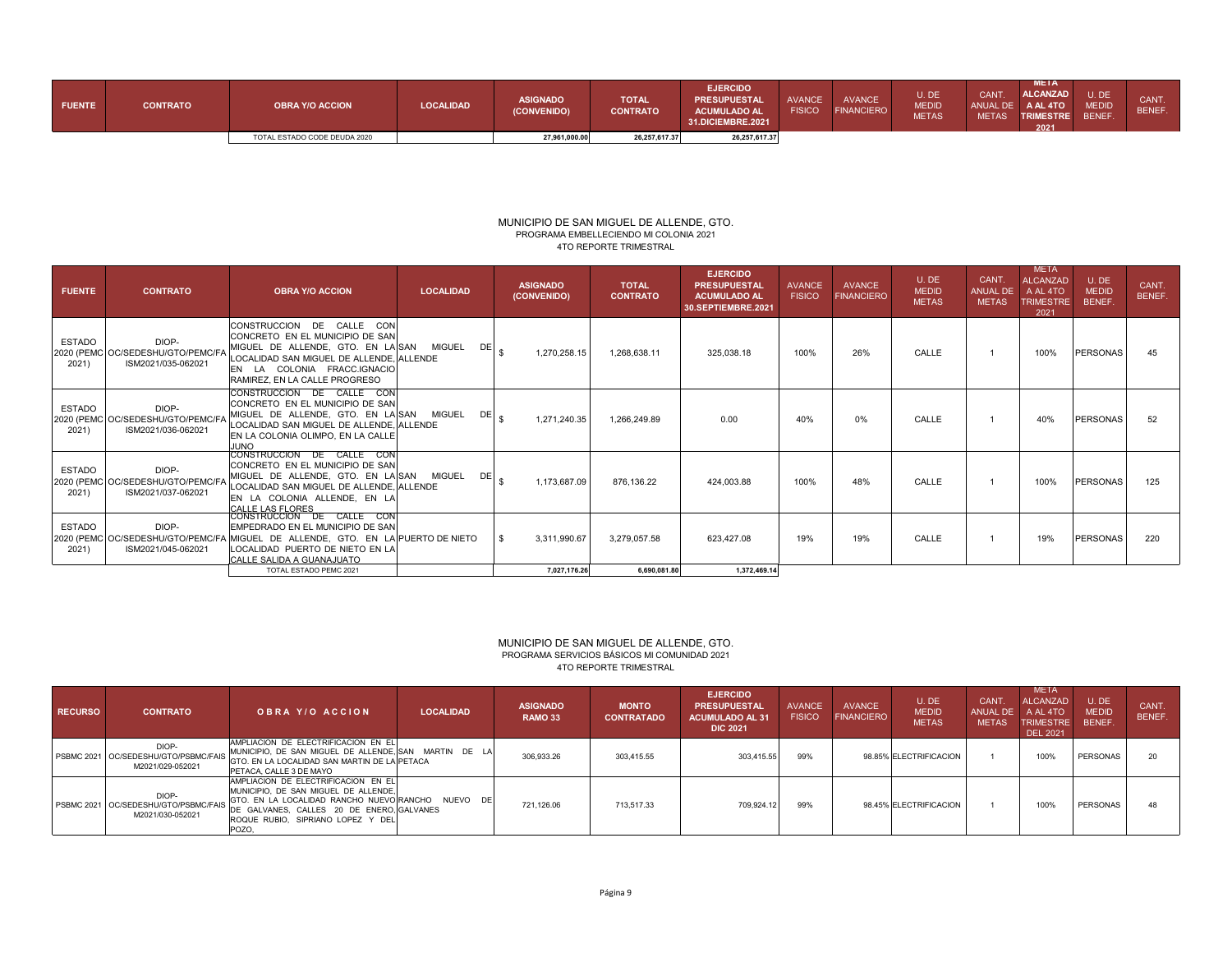| <b>FUENTE</b> | <b>CONTRATO</b> | <b>OBRA Y/O ACCION</b>       | <b>LOCALIDAD</b> | <b>ASIGNADO</b><br>(CONVENIDO) | <b>TOTAL</b><br><b>CONTRATO</b> | <b>EJERCIDO</b><br><b>PRESUPUESTAL</b><br><b>ACUMULADO AL</b><br>31.DICIEMBRE.2021 | AVANCE<br><b>FISICO</b> | <b>AVANCE</b><br><b>FINANCIERO</b> | U. DE<br><b>MEDID</b><br><b>METAS</b> | <b>CANT</b><br><b>METAS</b> | <b>META</b><br><b>ALCANZAD</b><br>ANUAL DE A AL 4TO<br><b>TRIMESTRE</b><br>2021 | U.DE<br><b>MEDID</b><br><b>BENEF</b> | CANT.<br><b>BENEF</b> |
|---------------|-----------------|------------------------------|------------------|--------------------------------|---------------------------------|------------------------------------------------------------------------------------|-------------------------|------------------------------------|---------------------------------------|-----------------------------|---------------------------------------------------------------------------------|--------------------------------------|-----------------------|
|               |                 | TOTAL ESTADO CODE DEUDA 2020 |                  | 27,961,000.00                  | 26, 257, 617.37                 | 26,257,617.37                                                                      |                         |                                    |                                       |                             |                                                                                 |                                      |                       |

## MUNICIPIO DE SAN MIGUEL DE ALLENDE, GTO. PROGRAMA EMBELLECIENDO MI COLONIA 2021 4TO REPORTE TRIMESTRAL

| <b>FUENTE</b>          | <b>CONTRATO</b>                                                 | <b>OBRA Y/O ACCION</b>                                                                                                                                                                                                                            | <b>LOCALIDAD</b>                      | <b>ASIGNADO</b><br>(CONVENIDO) | <b>TOTAL</b><br><b>CONTRATO</b> | <b>EJERCIDO</b><br><b>PRESUPUESTAL</b><br><b>ACUMULADO AL</b><br>30.SEPTIEMBRE.2021 | <b>AVANCE</b><br><b>FISICO</b> | <b>AVANCE</b><br><b>FINANCIERO</b> | U.DE<br><b>MEDID</b><br><b>METAS</b> | CANT.<br>ANUAL DE<br><b>METAS</b> | <b>META</b><br><b>ALCANZAD</b><br>A AL 4TO<br><b>TRIMESTRE</b><br>2021 | U.DE<br><b>MEDID</b><br>BENEF. | CANT.<br>BENEF. |
|------------------------|-----------------------------------------------------------------|---------------------------------------------------------------------------------------------------------------------------------------------------------------------------------------------------------------------------------------------------|---------------------------------------|--------------------------------|---------------------------------|-------------------------------------------------------------------------------------|--------------------------------|------------------------------------|--------------------------------------|-----------------------------------|------------------------------------------------------------------------|--------------------------------|-----------------|
| <b>ESTADO</b><br>2021) | DIOP-<br>2020 (PEMC OC/SEDESHU/GTO/PEMC/F<br>ISM2021/035-062021 | CONSTRUCCION DE CALLE CON<br>CONCRETO EN EL MUNICIPIO DE SAN<br>MIGUEL DE ALLENDE, GTO. EN LA SAN<br>LOCALIDAD SAN MIGUEL DE ALLENDE, ALLENDE<br>EN LA COLONIA FRACC.IGNACIO<br>RAMIREZ, EN LA CALLE PROGRESO                                     | <b>MIGUEL</b><br>DE <sub>e</sub>      | 1,270,258.15                   | 1,268,638.11                    | 325,038.18                                                                          | 100%                           | 26%                                | CALLE                                |                                   | 100%                                                                   | <b>PERSONAS</b>                | 45              |
| <b>ESTADO</b><br>2021) | DIOP-<br>2020 (PEMC OC/SEDESHU/GTO/PEMC/F<br>ISM2021/036-062021 | CONSTRUCCION DE CALLE CON<br>CONCRETO EN EL MUNICIPIO DE SAN<br>MIGUEL DE ALLENDE, GTO. EN LA SAN MIGUEL<br>LOCALIDAD SAN MIGUEL DE ALLENDE, ALLENDE<br>EN LA COLONIA OLIMPO, EN LA CALLE<br><b>JUNO</b>                                          | $DE$ <sub><math>\epsilon</math></sub> | 1,271,240.35                   | 1,266,249.89                    | 0.00                                                                                | 40%                            | 0%                                 | CALLE                                |                                   | 40%                                                                    | <b>PERSONAS</b>                | 52              |
| <b>ESTADO</b><br>2021) | DIOP-<br>2020 (PEMC OC/SEDESHU/GTO/PEMC/F<br>ISM2021/037-062021 | CONSTRUCCION DE CALLE CON<br>CONCRETO EN EL MUNICIPIO DE SAN<br>MIGUEL DE ALLENDE, GTO. EN LA SAN MIGUEL<br>LOCALIDAD SAN MIGUEL DE ALLENDE, ALLENDE<br>EN LA COLONIA ALLENDE, EN LA<br>CALLE LAS FLORES                                          | DEI                                   | 1,173,687.09                   | 876,136.22                      | 424.003.88                                                                          | 100%                           | 48%                                | CALLE                                |                                   | 100%                                                                   | <b>PERSONAS</b>                | 125             |
| <b>ESTADO</b><br>2021) | DIOP-<br>ISM2021/045-062021                                     | CONSTRUCCION DE CALLE CON<br>EMPEDRADO EN EL MUNICIPIO DE SAN<br>2020 (PEMC OC/SEDESHU/GTO/PEMC/FA MIGUEL DE ALLENDE, GTO. EN LA PUERTO DE NIETO<br>LOCALIDAD PUERTO DE NIETO EN LA<br><b>CALLE SALIDA A GUANAJUATO</b><br>TOTAL ESTADO PEMC 2021 |                                       | 3,311,990.67<br>7.027.176.26   | 3,279,057.58<br>6.690.081.80    | 623.427.08<br>1.372.469.14                                                          | 19%                            | 19%                                | CALLE                                |                                   | 19%                                                                    | <b>PERSONAS</b>                | 220             |

## PROGRAMA SERVICIOS BÁSICOS MI COMUNIDAD 2021MUNICIPIO DE SAN MIGUEL DE ALLENDE, GTO. 4TO REPORTE TRIMESTRAL

| <b>RECURSO</b> | <b>CONTRATO</b>                                                     | OBRA Y/O ACCION                                                                                                                                                                                                              | <b>LOCALIDAD</b> | <b>ASIGNADO</b><br><b>RAMO 33</b> | <b>MONTO</b><br><b>CONTRATADO</b> | <b>EJERCIDO</b><br><b>PRESUPUESTAL</b><br><b>ACUMULADO AL 31</b><br><b>DIC 2021</b> | <b>AVANCE</b><br><b>FISICO</b> | <b>AVANCE</b><br><b>FINANCIERO</b> | U.DE<br><b>MEDID</b><br><b>METAS</b> | <b>CANT</b><br>ANUAL DE<br><b>METAS</b> | <b>META</b><br>ALCANZAD<br>A AL 4TO<br><b>TRIMESTRE</b><br>DEL 2021 | U.DE<br><b>MEDID</b><br>BENEF. | CANT.<br><b>BENEF</b> |
|----------------|---------------------------------------------------------------------|------------------------------------------------------------------------------------------------------------------------------------------------------------------------------------------------------------------------------|------------------|-----------------------------------|-----------------------------------|-------------------------------------------------------------------------------------|--------------------------------|------------------------------------|--------------------------------------|-----------------------------------------|---------------------------------------------------------------------|--------------------------------|-----------------------|
|                | DIOP-<br>PSBMC 2021   OC/SEDESHU/GTO/PSBMC/FAIS<br>M2021/029-052021 | AMPLIACION DE ELECTRIFICACION EN EL<br>MUNICIPIO. DE SAN MIGUEL DE ALLENDE. SAN MARTIN DE LA<br>GTO. EN LA LOCALIDAD SAN MARTIN DE LA PETACA<br>PETACA, CALLE 3 DE MAYO                                                      |                  | 306,933.26                        | 303.415.55                        | 303.415.55                                                                          | 99%                            |                                    | 98.85% ELECTRIFICACION               |                                         | 100%                                                                | PERSONAS                       | 20                    |
|                | DIOP-<br>PSBMC 2021   OC/SEDESHU/GTO/PSBMC/FAIS<br>M2021/030-052021 | AMPLIACION DE ELECTRIFICACION EN EL<br>MUNICIPIO. DE SAN MIGUEL DE ALLENDE.<br>GTO. EN LA LOCALIDAD RANCHO NUEVOIRANCHO NUEVO DEI<br>DE GALVANES, CALLES 20 DE ENERO. GALVANES<br>ROQUE RUBIO, SIPRIANO LOPEZ Y DEL<br>POZO. |                  | 721.126.06                        | 713.517.33                        | 709.924.12                                                                          | 99%                            |                                    | 98.45% ELECTRIFICACION               |                                         | 100%                                                                | <b>PERSONAS</b>                | 48                    |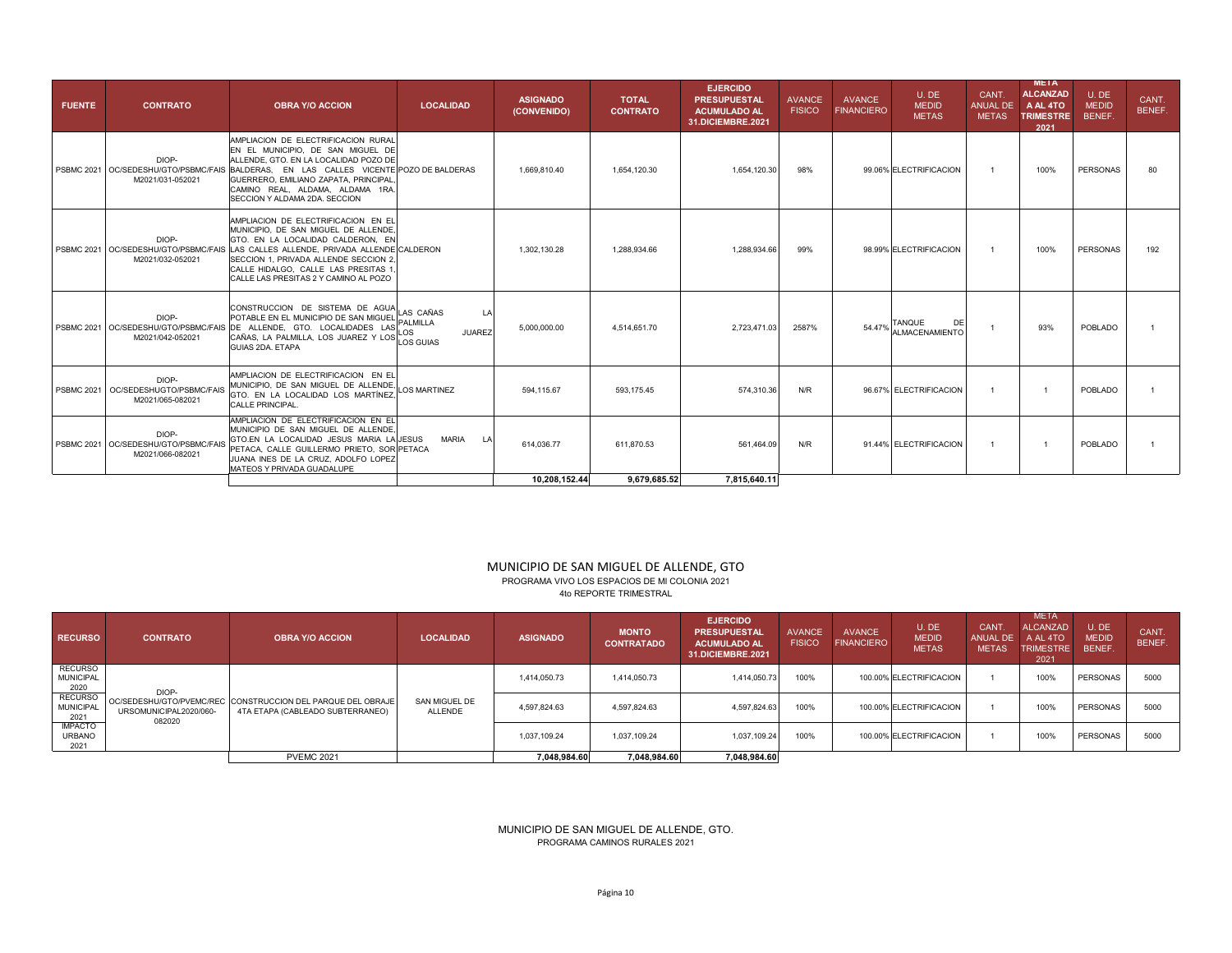| <b>FUENTE</b> | <b>CONTRATO</b>                                                    | <b>OBRA Y/O ACCION</b>                                                                                                                                                                                                                                                                                                                  | <b>LOCALIDAD</b>    | <b>ASIGNADO</b><br>(CONVENIDO) | <b>TOTAL</b><br><b>CONTRATO</b> | <b>EJERCIDO</b><br><b>PRESUPUESTAL</b><br><b>ACUMULADO AL</b><br>31.DICIEMBRE.2021 | <b>AVANCE</b><br><b>FISICO</b> | <b>AVANCE</b><br><b>FINANCIERO</b> | U.DE<br><b>MEDID</b><br><b>METAS</b> | CANT.<br>ANUAL DE<br><b>METAS</b> | <b>META</b><br><b>ALCANZAD</b><br>A AL 4TO<br><b>TRIMESTRE</b><br>2021 | U.DE<br><b>MEDID</b><br>BENEF. | CANT.<br>BENEF. |
|---------------|--------------------------------------------------------------------|-----------------------------------------------------------------------------------------------------------------------------------------------------------------------------------------------------------------------------------------------------------------------------------------------------------------------------------------|---------------------|--------------------------------|---------------------------------|------------------------------------------------------------------------------------|--------------------------------|------------------------------------|--------------------------------------|-----------------------------------|------------------------------------------------------------------------|--------------------------------|-----------------|
|               | DIOP-<br>M2021/031-052021                                          | AMPLIACION DE ELECTRIFICACION RURAL<br>EN EL MUNICIPIO. DE SAN MIGUEL DE<br>ALLENDE, GTO, EN LA LOCALIDAD POZO DE<br>PSBMC 2021 OC/SEDESHU/GTO/PSBMC/FAIS BALDERAS. EN LAS CALLES VICENTE POZO DE BALDERAS<br>GUERRERO, EMILIANO ZAPATA, PRINCIPAL<br>CAMINO REAL, ALDAMA, ALDAMA 1RA,<br>SECCION Y ALDAMA 2DA. SECCION                 |                     | 1.669.810.40                   | 1.654.120.30                    | 1,654,120.30                                                                       | 98%                            |                                    | 99.06% ELECTRIFICACION               | $\overline{1}$                    | 100%                                                                   | <b>PERSONAS</b>                | 80              |
|               | DIOP-<br>M2021/032-052021                                          | AMPLIACION DE ELECTRIFICACION EN EL<br>MUNICIPIO. DE SAN MIGUEL DE ALLENDE.<br>GTO. EN LA LOCALIDAD CALDERON. EN<br>PSBMC 2021 OC/SEDESHU/GTO/PSBMC/FAIS LAS CALLES ALLENDE. PRIVADA ALLENDE CALDERON<br><b>ISECCION 1. PRIVADA ALLENDE SECCION 2.</b><br>CALLE HIDALGO. CALLE LAS PRESITAS 1.<br>CALLE LAS PRESITAS 2 Y CAMINO AL POZO |                     | 1.302.130.28                   | 1.288.934.66                    | 1.288.934.66                                                                       | 99%                            |                                    | 98.99% ELECTRIFICACION               | $\overline{1}$                    | 100%                                                                   | <b>PERSONAS</b>                | 192             |
|               |                                                                    | CONSTRUCCION DE SISTEMA DE AGUA LAS CAÑAS<br>POTABLE EN EL MUNICIPIO DE SAN MIGUEL PALMILLA<br>DIOP-<br>PSBMC 2021 OC/SEDESHU/GTO/PSBMC/FAIS DE ALLENDE, GTO. LOCALIDADES LAS LOS<br>M2021/042-052021 CAÑAS, LA PALMILLA, LOS JUAREZ Y LOS LUAS<br>GUIAS 2DA, ETAPA                                                                     | LA<br><b>JUAREZ</b> | 5.000.000.00                   | 4.514.651.70                    | 2.723.471.03                                                                       | 2587%                          |                                    | 54.47% TANQUE DE<br>ALMACENAMIENTO   | $\overline{1}$                    | 93%                                                                    | POBLADO                        |                 |
|               | DIOP-<br>PSBMC 2021   OC/SEDESHUGTO/PSBMC/FAIS<br>M2021/065-082021 | AMPLIACION DE ELECTRIFICACION EN EL<br>MUNICIPIO, DE SAN MIGUEL DE ALLENDE,<br>GTO. EN LA LOCALIDAD LOS MARTÍNEZ.<br>CALLE PRINCIPAL.                                                                                                                                                                                                   | <b>LOS MARTINEZ</b> | 594.115.67                     | 593.175.45                      | 574.310.36                                                                         | N/R                            |                                    | 96.67% ELECTRIFICACION               | $\overline{1}$                    |                                                                        | POBLADO                        |                 |
|               | DIOP-<br>PSBMC 2021 OC/SEDESHU/GTO/PSBMC/FAIS<br>M2021/066-082021  | AMPLIACION DE ELECTRIFICACION EN EL<br>MUNICIPIO DE SAN MIGUEL DE ALLENDE.<br>GTO.EN LA LOCALIDAD JESUS MARIA LAUESUS<br>PETACA, CALLE GUILLERMO PRIETO, SOR PETACA<br>JUANA INES DE LA CRUZ. ADOLFO LOPEZ<br>MATEOS Y PRIVADA GUADALUPE                                                                                                | <b>MARIA</b><br>LA  | 614.036.77                     | 611.870.53                      | 561.464.09                                                                         | N/R                            |                                    | 91.44% ELECTRIFICACION               | $\overline{1}$                    |                                                                        | POBLADO                        |                 |
|               |                                                                    |                                                                                                                                                                                                                                                                                                                                         |                     | 10.208.152.44                  | 9.679.685.52                    | 7.815.640.11                                                                       |                                |                                    |                                      |                                   |                                                                        |                                |                 |

# MUNICIPIO DE SAN MIGUEL DE ALLENDE, GTO PROGRAMA VIVO LOS ESPACIOS DE MI COLONIA 2021

4to REPORTE TRIMESTRAL

| <b>RECURSO</b>                             | <b>CONTRATO</b>                  | <b>OBRA Y/O ACCION</b>                                                                          | <b>LOCALIDAD</b>         | <b>ASIGNADO</b> | <b>MONTO</b><br><b>CONTRATADO</b> | <b>EJERCIDO</b><br><b>PRESUPUESTAL</b><br><b>ACUMULADO AL</b><br>31.DICIEMBRE.2021 | <b>AVANCE</b><br><b>FISICO</b> | <b>AVANCE</b><br><b>FINANCIERO</b> | U.DE<br><b>MEDID</b><br><b>METAS</b> | <b>CANT</b><br><b>ANUAL DE</b><br><b>METAS</b> | <b>META</b><br><b>ALCANZAD</b><br>A AL 4TO<br><b>TRIMESTRE</b><br>2021 | U.DE<br><b>MEDID</b><br>BENEF. | CANT.<br>BENEF. |
|--------------------------------------------|----------------------------------|-------------------------------------------------------------------------------------------------|--------------------------|-----------------|-----------------------------------|------------------------------------------------------------------------------------|--------------------------------|------------------------------------|--------------------------------------|------------------------------------------------|------------------------------------------------------------------------|--------------------------------|-----------------|
| <b>RECURSO</b><br><b>MUNICIPAL</b><br>2020 | DIOP-                            |                                                                                                 |                          | 1.414.050.73    | 1.414.050.73                      | 1.414.050.73                                                                       | 100%                           |                                    | 100.00% ELECTRIFICACION              |                                                | 100%                                                                   | PERSONAS                       | 5000            |
| <b>RECURSO</b><br><b>MUNICIPAL</b><br>2021 | URSOMUNICIPAL2020/060-<br>082020 | OC/SEDESHU/GTO/PVEMC/REC CONSTRUCCION DEL PARQUE DEL OBRAJE<br>4TA ETAPA (CABLEADO SUBTERRANEO) | SAN MIGUEL DE<br>ALLENDE | 4.597.824.63    | 4.597.824.63                      | 4.597.824.63                                                                       | 100%                           |                                    | 100.00% ELECTRIFICACION              |                                                | 100%                                                                   | PERSONAS                       | 5000            |
| <b>IMPACTO</b><br><b>URBANO</b><br>2021    |                                  |                                                                                                 |                          | 1.037.109.24    | 1.037.109.24                      | 1,037,109.24                                                                       | 100%                           |                                    | 100.00% ELECTRIFICACION              |                                                | 100%                                                                   | PERSONAS                       | 5000            |
|                                            |                                  | <b>PVEMC 2021</b>                                                                               |                          | 7,048,984.60    | 7,048,984.60                      | 7,048,984.60                                                                       |                                |                                    |                                      |                                                |                                                                        |                                |                 |

# MUNICIPIO DE SAN MIGUEL DE ALLENDE, GTO. PROGRAMA CAMINOS RURALES 2021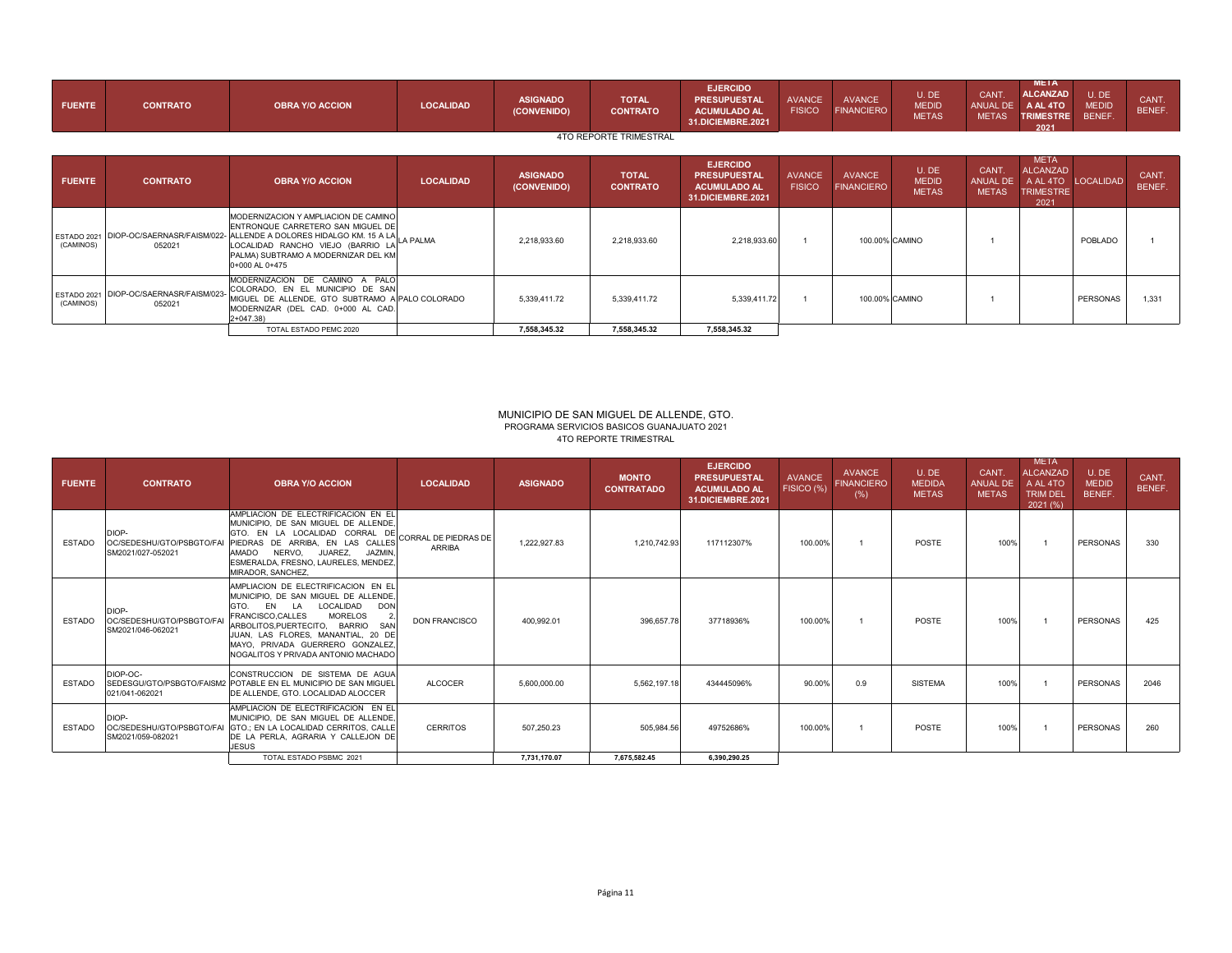| <b>FUENTE</b> | <b>CONTRATO</b>                                  | <b>OBRA Y/O ACCION</b>                                                                                                                                                                                                                                            | <b>LOCALIDAD</b> | <b>ASIGNADO</b><br>(CONVENIDO) | <b>TOTAL</b><br><b>CONTRATO</b> | <b>EJERCIDO</b><br><b>PRESUPUESTAL</b><br><b>ACUMULADO AL</b><br><b>31.DICIEMBRE.2021</b> | <b>AVANCE</b><br><b>FISICO</b> | <b>AVANCE</b><br><b>FINANCIERO</b> | U.DE<br><b>MEDID</b><br><b>METAS</b> | CANT.<br>ANUAL DE<br><b>METAS</b> | <b>META</b><br><b>ALCANZAD</b><br>A AL 4TO<br><b>TRIMESTRE</b><br>2021 | U.DE<br><b>MEDID</b><br>BENEF. | CANT.<br>BENEF. |
|---------------|--------------------------------------------------|-------------------------------------------------------------------------------------------------------------------------------------------------------------------------------------------------------------------------------------------------------------------|------------------|--------------------------------|---------------------------------|-------------------------------------------------------------------------------------------|--------------------------------|------------------------------------|--------------------------------------|-----------------------------------|------------------------------------------------------------------------|--------------------------------|-----------------|
|               |                                                  |                                                                                                                                                                                                                                                                   |                  |                                | <b>4TO REPORTE TRIMESTRAL</b>   |                                                                                           |                                |                                    |                                      |                                   |                                                                        |                                |                 |
| <b>FUENTE</b> | <b>CONTRATO</b>                                  | <b>OBRA Y/O ACCION</b>                                                                                                                                                                                                                                            | <b>LOCALIDAD</b> | <b>ASIGNADO</b><br>(CONVENIDO) | <b>TOTAL</b><br><b>CONTRATO</b> | <b>EJERCIDO</b><br><b>PRESUPUESTAL</b><br><b>ACUMULADO AL</b><br><b>31.DICIEMBRE.2021</b> | <b>AVANCE</b><br><b>FISICO</b> | <b>AVANCE</b><br><b>FINANCIERO</b> | U.DE<br><b>MEDID</b><br><b>METAS</b> | CANT.<br>ANUAL DE<br><b>METAS</b> | <b>META</b><br>ALCANZAD<br>A AL 4TO<br><b>TRIMESTRE</b><br>2021        | <b>LOCALIDAD</b>               | CANT.<br>BENEF. |
| (CAMINOS)     | 052021                                           | MODERNIZACION Y AMPLIACION DE CAMINO<br>ENTRONQUE CARRETERO SAN MIGUEL DE<br>ESTADO 2021 DIOP-OC/SAERNASR/FAISM/022- ALLENDE A DOLORES HIDALGO KM. 15 A LA<br>LOCALIDAD RANCHO VIEJO (BARRIO LA LA PALMA<br>PALMA) SUBTRAMO A MODERNIZAR DEL KM<br>0+000 AL 0+475 |                  | 2,218,933.60                   | 2,218,933.60                    | 2,218,933.60                                                                              |                                |                                    | 100.00% CAMINO                       |                                   |                                                                        | POBLADO                        |                 |
| (CAMINOS)     | ESTADO 2021 DIOP-OC/SAERNASR/FAISM/023<br>052021 | MODERNIZACION DE CAMINO A PALO<br>COLORADO, EN EL MUNICIPIO DE SAN<br>MIGUEL DE ALLENDE, GTO SUBTRAMO A PALO COLORADO<br>MODERNIZAR (DEL CAD. 0+000 AL CAD.<br>$2+047.38$                                                                                         |                  | 5,339,411.72                   | 5,339,411.72                    | 5,339,411.72                                                                              |                                |                                    | 100.00% CAMINO                       |                                   |                                                                        | PERSONAS                       | 1.331           |
|               |                                                  | TOTAL ESTADO PEMC 2020                                                                                                                                                                                                                                            |                  | 7,558,345.32                   | 7,558,345.32                    | 7,558,345.32                                                                              |                                |                                    |                                      |                                   |                                                                        |                                |                 |

#### 4TO REPORTE TRIMESTRALMUNICIPIO DE SAN MIGUEL DE ALLENDE, GTO. PROGRAMA SERVICIOS BASICOS GUANAJUATO 2021

| <b>FUENTE</b> | <b>CONTRATO</b>                                         | <b>OBRA Y/O ACCION</b>                                                                                                                                                                                                                                                                                                                                    | <b>LOCALIDAD</b>                      | <b>ASIGNADO</b> | <b>MONTO</b><br><b>CONTRATADO</b> | <b>EJERCIDO</b><br><b>PRESUPUESTAL</b><br><b>ACUMULADO AL</b><br>31.DICIEMBRE.2021 | <b>AVANCE</b><br>FISICO (%) | AVANCE<br><b>FINANCIERO</b><br>(%) | U.DE<br><b>MEDIDA</b><br><b>METAS</b> | CANT.<br><b>ANUAL DE</b><br><b>METAS</b> | <b>META</b><br><b>ALCANZAD</b><br>A AL 4TO<br><b>TRIM DEL</b><br>2021(%) | U.DE<br><b>MEDID</b><br>BENEF. | CANT.<br>BENEF. |
|---------------|---------------------------------------------------------|-----------------------------------------------------------------------------------------------------------------------------------------------------------------------------------------------------------------------------------------------------------------------------------------------------------------------------------------------------------|---------------------------------------|-----------------|-----------------------------------|------------------------------------------------------------------------------------|-----------------------------|------------------------------------|---------------------------------------|------------------------------------------|--------------------------------------------------------------------------|--------------------------------|-----------------|
| <b>ESTADO</b> | DIOP-<br>OC/SEDESHU/GTO/PSBGTO/FAI<br>SM2021/027-052021 | AMPLIACION DE ELECTRIFICACION EN EL<br>MUNICIPIO. DE SAN MIGUEL DE ALLENDE.<br>GTO. EN LA LOCALIDAD CORRAL DE<br>PIEDRAS DE ARRIBA. EN LAS CALLES<br><b>OOMA</b><br>NERVO. JUAREZ.<br>JAZMIN.<br>ESMERALDA, FRESNO, LAURELES, MENDEZ,<br>MIRADOR, SANCHEZ.                                                                                                | CORRAL DE PIEDRAS DE<br><b>ARRIBA</b> | 1.222.927.83    | 1,210,742.93                      | 117112307%                                                                         | 100.00%                     |                                    | <b>POSTE</b>                          | 100%                                     |                                                                          | <b>PERSONAS</b>                | 330             |
| <b>FSTADO</b> | DIOP-<br>OC/SEDESHU/GTO/PSBGTO/FA<br>SM2021/046-062021  | AMPLIACION DE ELECTRIFICACION EN EL<br>MUNICIPIO. DE SAN MIGUEL DE ALLENDE.<br>LOCALIDAD<br><b>DON</b><br>EN<br><b>LA</b><br>GTO.<br><b>FRANCISCO.CALLES</b><br><b>MORELOS</b><br>$\overline{2}$<br>ARBOLITOS, PUERTECITO, BARRIO<br>SAN<br>JUAN, LAS FLORES, MANANTIAL, 20 DE<br>MAYO, PRIVADA GUERRERO GONZALEZ.<br>NOGALITOS Y PRIVADA ANTONIO MACHADO | <b>DON FRANCISCO</b>                  | 400.992.01      | 396.657.78                        | 37718936%                                                                          | 100.00%                     |                                    | POSTE                                 | 100%                                     |                                                                          | <b>PERSONAS</b>                | 425             |
| <b>FSTADO</b> | DIOP-OC-<br>021/041-062021                              | CONSTRUCCION DE SISTEMA DE AGUA<br>SEDESGU/GTO/PSBGTO/FAISM2 POTABLE EN EL MUNICIPIO DE SAN MIGUEL<br>DE ALLENDE, GTO, LOCALIDAD ALOCCER                                                                                                                                                                                                                  | <b>ALCOCER</b>                        | 5.600.000.00    | 5,562,197.18                      | 434445096%                                                                         | 90.00%                      | 0.9                                | <b>SISTEMA</b>                        | 100%                                     |                                                                          | <b>PERSONAS</b>                | 2046            |
| <b>ESTADO</b> | DIOP-<br>OC/SEDESHU/GTO/PSBGTO/FAI<br>SM2021/059-082021 | AMPLIACION DE ELECTRIFICACION EN EL<br>MUNICIPIO. DE SAN MIGUEL DE ALLENDE.<br>GTO.: EN LA LOCALIDAD CERRITOS, CALLE<br>DE LA PERLA, AGRARIA Y CALLEJON DE<br><b>JESUS</b>                                                                                                                                                                                | <b>CERRITOS</b>                       | 507.250.23      | 505.984.56                        | 49752686%                                                                          | 100.00%                     |                                    | <b>POSTE</b>                          | 100%                                     |                                                                          | <b>PERSONAS</b>                | 260             |
|               |                                                         | TOTAL ESTADO PSBMC 2021                                                                                                                                                                                                                                                                                                                                   |                                       | 7.731.170.07    | 7.675.582.45                      | 6.390.290.25                                                                       |                             |                                    |                                       |                                          |                                                                          |                                |                 |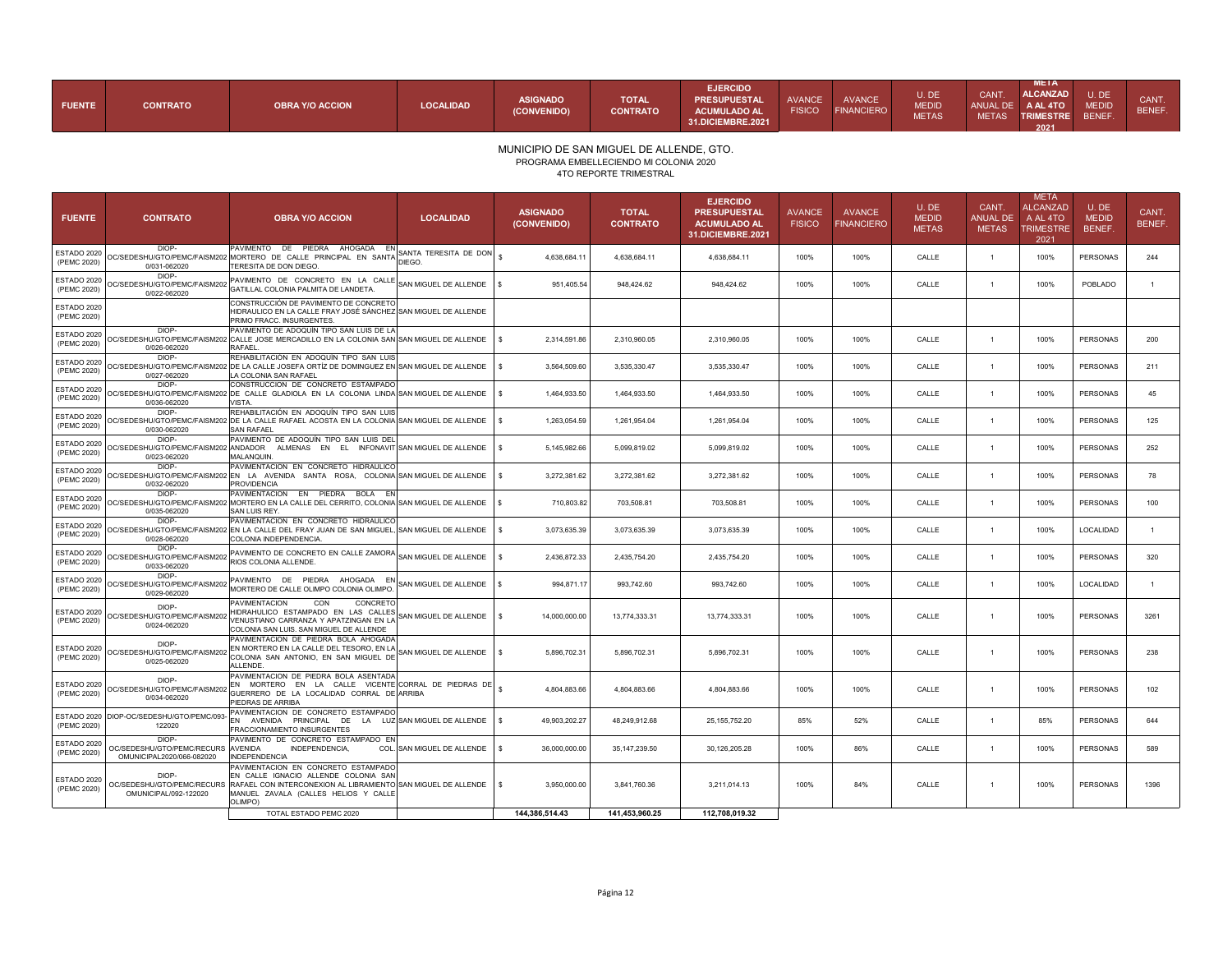| <b>FUENTE</b> | <b>CONTRATO</b> | <b>OBRA Y/O ACCION</b> | LOCALIDAD | <b>ASIGNADO</b><br>(CONVENIDO) | <b>TOTAL</b><br><b>CONTRATO</b> | <b>EJERCIDO</b><br><b>PRESUPUESTAL</b><br><b>ACUMULADO AL</b><br><b>31.DICIEMBRE.2021</b> | <b>AVANCE</b><br><b>FISICO</b> | <b>AVANCE</b><br><b>FINANCIERO</b> | U. DE<br><b>MEDID</b><br><b>METAS</b> | <b>CANT</b><br><b>METAS</b> | <b>META</b><br><b>ALCANZAD</b><br>ANUAL DE A AL 4TO<br><b>TRIMESTRE</b><br>2021 | U.DE<br><b>MEDID</b><br><b>BENEF</b> | CANT.<br><b>BENEF</b> |
|---------------|-----------------|------------------------|-----------|--------------------------------|---------------------------------|-------------------------------------------------------------------------------------------|--------------------------------|------------------------------------|---------------------------------------|-----------------------------|---------------------------------------------------------------------------------|--------------------------------------|-----------------------|
|---------------|-----------------|------------------------|-----------|--------------------------------|---------------------------------|-------------------------------------------------------------------------------------------|--------------------------------|------------------------------------|---------------------------------------|-----------------------------|---------------------------------------------------------------------------------|--------------------------------------|-----------------------|

PROGRAMA EMBELLECIENDO MI COLONIA 2020

4TO REPORTE TRIMESTRAL

| <b>FUENTE</b>              | <b>CONTRATO</b>                                                          | <b>OBRA Y/O ACCION</b>                                                                                                                                                                                                     | <b>LOCALIDAD</b>           | <b>ASIGNADO</b><br>(CONVENIDO) | <b>TOTAL</b><br><b>CONTRATO</b> | <b>EJERCIDO</b><br><b>PRESUPUESTAL</b><br><b>ACUMULADO AL</b><br>31.DICIEMBRE.2021 | <b>AVANCE</b><br><b>FISICO</b> | <b>AVANCE</b><br><b>FINANCIERO</b> | U.DE<br><b>MEDID</b><br><b>METAS</b> | CANT.<br><b>ANUAL DE</b><br><b>METAS</b> | <b>META</b><br><b>ALCANZAD</b><br>A AL 4TO<br><b>TRIMESTRE</b><br>2021 | U.DE<br><b>MEDID</b><br>BENEF. | CANT.<br>BENEF. |
|----------------------------|--------------------------------------------------------------------------|----------------------------------------------------------------------------------------------------------------------------------------------------------------------------------------------------------------------------|----------------------------|--------------------------------|---------------------------------|------------------------------------------------------------------------------------|--------------------------------|------------------------------------|--------------------------------------|------------------------------------------|------------------------------------------------------------------------|--------------------------------|-----------------|
| ESTADO 2020<br>(PEMC 2020) | DIOP-<br>0/031-062020                                                    | PAVIMENTO DE PIEDRA AHOGADA EN SANTA TERESITA DE DON \$<br>OC/SEDESHU/GTO/PEMC/FAISM202 MORTERO DE CALLE PRINCIPAL EN SANTA DIEGO.<br>TERESITA DE DON DIEGO.                                                               |                            | 4,638,684.11                   | 4,638,684.11                    | 4,638,684.11                                                                       | 100%                           | 100%                               | CALLE                                | $\overline{1}$                           | 100%                                                                   | PERSONAS                       | 244             |
| ESTADO 2020<br>(PEMC 2020) | DIOP-<br>OC/SEDESHU/GTO/PEMC/FAISM20<br>0/022-062020                     | PAVIMENTO DE CONCRETO EN LA CALLE SAN MIGUEL DE ALLENDE<br>GATILLAL COLONIA PALMITA DE LANDETA.                                                                                                                            |                            | 951,405.54                     | 948,424.62                      | 948,424.62                                                                         | 100%                           | 100%                               | CALLE                                | $\overline{1}$                           | 100%                                                                   | POBLADO                        | $\mathbf{1}$    |
| ESTADO 2020<br>(PEMC 2020) |                                                                          | CONSTRUCCIÓN DE PAVIMENTO DE CONCRETO<br>HIDRAULICO EN LA CALLE FRAY JOSÉ SÁNCHEZ SAN MIGUEL DE ALLENDE<br>PRIMO FRACC. INSURGENTES.                                                                                       |                            |                                |                                 |                                                                                    |                                |                                    |                                      |                                          |                                                                        |                                |                 |
| ESTADO 2020<br>(PEMC 2020) | DIOP-<br>0/026-062020                                                    | PAVIMENTO DE ADOQUÍN TIPO SAN LUIS DE LA<br>OC/SEDESHU/GTO/PEMC/FAISM202 CALLE JOSE MERCADILLO EN LA COLONIA SAN SAN MIGUEL DE ALLENDE<br><b>RAFAEL</b>                                                                    |                            | 2,314,591.86                   | 2,310,960.05                    | 2,310,960.05                                                                       | 100%                           | 100%                               | CALLE                                | $\overline{1}$                           | 100%                                                                   | <b>PERSONAS</b>                | 200             |
| ESTADO 2020<br>(PEMC 2020) | DIOP-<br>0/027-062020                                                    | REHABILITACIÓN EN ADOQUÍN TIPO SAN LUIS<br>9 C/SEDESHU/GTO/PEMC/FAISM202 DE LA CALLE JOSEFA ORTÍZ DE DOMINGUEZ EN SAN MIGUEL DE ALLENDE │ S<br>LA COLONIA SAN RAFAEL                                                       |                            | 3,564,509.60                   | 3,535,330.47                    | 3,535,330.47                                                                       | 100%                           | 100%                               | CALLE                                | $\overline{1}$                           | 100%                                                                   | PERSONAS                       | 211             |
| ESTADO 2020<br>(PEMC 2020) | DIOP-<br>0/036-062020                                                    | CONSTRUCCION DE CONCRETO ESTAMPADO<br>OC/SEDESHU/GTO/PEMC/FAISM202 DE CALLE GLADIOLA EN LA COLONIA LINDA SAN MIGUEL DE ALLENDE<br>VISTA.                                                                                   |                            | 1,464,933.50                   | 1,464,933.50                    | 1,464,933.50                                                                       | 100%                           | 100%                               | CALLE                                | $\overline{1}$                           | 100%                                                                   | PERSONAS                       | 45              |
| ESTADO 2020<br>(PEMC 2020) | DIOP-<br>0/030-062020                                                    | REHABILITACIÓN EN ADOQUÍN TIPO SAN LUIS<br>OC/SEDESHU/GTO/PEMC/FAISM202 DE LA CALLE RAFAEL ACOSTA EN LA COLONIA SAN MIGUEL DE ALLENDE<br><b>SAN RAFAEL</b>                                                                 |                            | 1,263,054.59                   | 1,261,954.04                    | 1,261,954.04                                                                       | 100%                           | 100%                               | CALLE                                | $\overline{1}$                           | 100%                                                                   | <b>PERSONAS</b>                | 125             |
| ESTADO 2020<br>(PEMC 2020) | DIOP-<br>0/023-062020                                                    | PAVIMENTO DE ADOQUÍN TIPO SAN LUIS DEL<br>OC/SEDESHU/GTO/PEMC/FAISM202 ANDADOR ALMENAS EN EL INFONAVIT SAN MIGUEL DE ALLENDE<br><b>MALANQUIN</b>                                                                           |                            | 5,145,982.66                   | 5,099,819.02                    | 5,099,819.02                                                                       | 100%                           | 100%                               | CALLE                                | $\overline{1}$                           | 100%                                                                   | PERSONAS                       | 252             |
| ESTADO 2020<br>(PEMC 2020) | DIOP-<br>0/032-062020                                                    | PAVIMENTACION EN CONCRETO HIDRAULICO<br>OC/SEDESHU/GTO/PEMC/FAISM202 EN LA AVENIDA SANTA ROSA, COLONIA SANIMIGUEL DE ALLENDE<br><b>PROVIDENCIA</b>                                                                         |                            | 3,272,381.62<br>ΙS             | 3,272,381.62                    | 3,272,381.62                                                                       | 100%                           | 100%                               | CALLE                                | $\overline{1}$                           | 100%                                                                   | PERSONAS                       | 78              |
| ESTADO 2020<br>(PEMC 2020) | DIOP-<br>0/035-062020                                                    | PAVIMENTACION EN PIEDRA BOLA EN<br>OC/SEDESHU/GTO/PEMC/FAISM202 MORTERO EN LA CALLE DEL CERRITO, COLONIA SAN MIGUEL DE ALLENDE<br>SAN LUIS REY.                                                                            |                            | 710.803.82                     | 703.508.81                      | 703.508.81                                                                         | 100%                           | 100%                               | CALLE                                | $\overline{1}$                           | 100%                                                                   | PERSONAS                       | 100             |
| ESTADO 2020<br>(PEMC 2020) | DIOP-<br>0/028-062020                                                    | PAVIMENTACION EN CONCRETO HIDRAULICO<br>)C/SEDESHU/GTO/PEMC/FAISM202 EN LA CALLE DEL FRAY JUAN DE SAN MIGUEL, SAN MIGUEL DE ALLENDE<br>COLONIA INDEPENDENCIA.                                                              |                            | 3,073,635.39                   | 3,073,635.39                    | 3,073,635.39                                                                       | 100%                           | 100%                               | CALLE                                | $\overline{1}$                           | 100%                                                                   | LOCALIDAD                      | $\mathbf{1}$    |
| ESTADO 2020<br>(PEMC 2020) | DIOP-<br>OC/SEDESHU/GTO/PEMC/FAISM202<br>0/033-062020                    | PAVIMENTO DE CONCRETO EN CALLE ZAMORA<br>RIOS COLONIA ALLENDE.                                                                                                                                                             | SAN MIGUEL DE ALLENDE      | 2,436,872.33                   | 2,435,754.20                    | 2,435,754.20                                                                       | 100%                           | 100%                               | CALLE                                | $\overline{1}$                           | 100%                                                                   | <b>PERSONAS</b>                | 320             |
| ESTADO 2020<br>(PEMC 2020) | DIOP-<br>OC/SEDESHU/GTO/PEMC/FAISM202<br>0/029-062020                    | PAVIMENTO DE PIEDRA AHOGADA EN SAN MIGUEL DE ALLENDE \$<br>MORTERO DE CALLE OLIMPO COLONIA OLIMPO.                                                                                                                         |                            | 994,871.17                     | 993,742.60                      | 993,742.60                                                                         | 100%                           | 100%                               | CALLE                                | $\overline{1}$                           | 100%                                                                   | LOCALIDAD                      | $\mathbf{1}$    |
| ESTADO 2020<br>(PEMC 2020) | DIOP-<br>OC/SEDESHU/GTO/PEMC/FAISM202<br>0/024-062020                    | <b>PAVIMENTACION</b><br>CON<br>CONCRETO<br>HIDRAHULICO ESTAMPADO EN LAS CALLES<br>VENUSTIANO CARRANZA Y APATZINGAN EN LA<br>COLONIA SAN LUIS. SAN MIGUEL DE ALLENDE                                                        | SAN MIGUEL DE ALLENDE      | 14,000,000.00                  | 13,774,333.31                   | 13,774,333.31                                                                      | 100%                           | 100%                               | CALLE                                | $\mathbf{1}$                             | 100%                                                                   | PERSONAS                       | 3261            |
| ESTADO 2020<br>(PEMC 2020) | DIOP-<br>0/025-062020                                                    | PAVIMENTACION DE PIEDRA BOLA AHOGADA<br>EN MORTERO EN LA CALLE DEL TESORO, EN LA<br>OC/SEDESHU/GTO/PEMC/FAISM202 COLONIA SAN ANTONIO, EN SAN MIGUEL DE<br>ALL ENDE.                                                        | SAN MIGUEL DE ALLENDE   \$ | 5,896,702.31                   | 5,896,702.31                    | 5,896,702.31                                                                       | 100%                           | 100%                               | CALLE                                | $\overline{1}$                           | 100%                                                                   | PERSONAS                       | 238             |
| ESTADO 2020<br>(PEMC 2020) | DIOP-<br>OC/SEDESHU/GTO/PEMC/FAISM202<br>0/034-062020                    | PAVIMENTACION DE PIEDRA BOLA ASENTADA<br>EN MORTERO EN LA CALLE VICENTE CORRAL DE PIEDRAS DE<br>GUERRERO DE LA LOCALIDAD CORRAL DE ARRIBA<br>PIEDRAS DE ARRIBA                                                             |                            | 4,804,883.66                   | 4,804,883.66                    | 4,804,883.66                                                                       | 100%                           | 100%                               | CALLE                                | $\overline{1}$                           | 100%                                                                   | PERSONAS                       | 102             |
| ESTADO 2020<br>(PEMC 2020) | DIOP-OC/SEDESHU/GTO/PEMC/093-<br>122020                                  | PAVIMENTACION DE CONCRETO ESTAMPADO<br>EN AVENIDA PRINCIPAL DE LA LUZ SAN MIGUEL DE ALLENDE<br>FRACCIONAMIENTO INSURGENTES                                                                                                 |                            | 49,903,202.27<br>-S            | 48.249.912.68                   | 25.155.752.20                                                                      | 85%                            | 52%                                | CALLE                                | $\overline{1}$                           | 85%                                                                    | <b>PERSONAS</b>                | 644             |
| ESTADO 2020<br>(PEMC 2020) | DIOP-<br>OC/SEDESHU/GTO/PEMC/RECURS AVENIDA<br>OMUNICIPAL2020/066-082020 | PAVIMENTO DE CONCRETO ESTAMPADO EN<br>INDEPENDENCIA.<br><b>INDEPENDENCIA</b>                                                                                                                                               | COL. SAN MIGUEL DE ALLENDE | 36,000,000.00<br>$\mathbf{s}$  | 35,147,239.50                   | 30,126,205.28                                                                      | 100%                           | 86%                                | CALLE                                | $\overline{1}$                           | 100%                                                                   | PERSONAS                       | 589             |
| ESTADO 2020<br>(PEMC 2020) | DIOP-<br>OMUNICIPAL/092-122020                                           | PAVIMENTACION EN CONCRETO ESTAMPADO<br>EN CALLE IGNACIO ALLENDE COLONIA SAN<br>OC/SEDESHU/GTO/PEMC/RECURS RAFAEL CON INTERCONEXION AL LIBRAMIENTO SAN MIGUEL DE ALLENDE<br>MANUEL ZAVALA (CALLES HELIOS Y CALLE<br>OLIMPO) |                            | 3,950,000.00                   | 3,841,760.36                    | 3,211,014.13                                                                       | 100%                           | 84%                                | CALLE                                | $\overline{1}$                           | 100%                                                                   | PERSONAS                       | 1396            |
|                            |                                                                          | TOTAL ESTADO PEMC 2020                                                                                                                                                                                                     |                            | 144,386,514.43                 | 141,453,960.25                  | 112,708,019.32                                                                     |                                |                                    |                                      |                                          |                                                                        |                                |                 |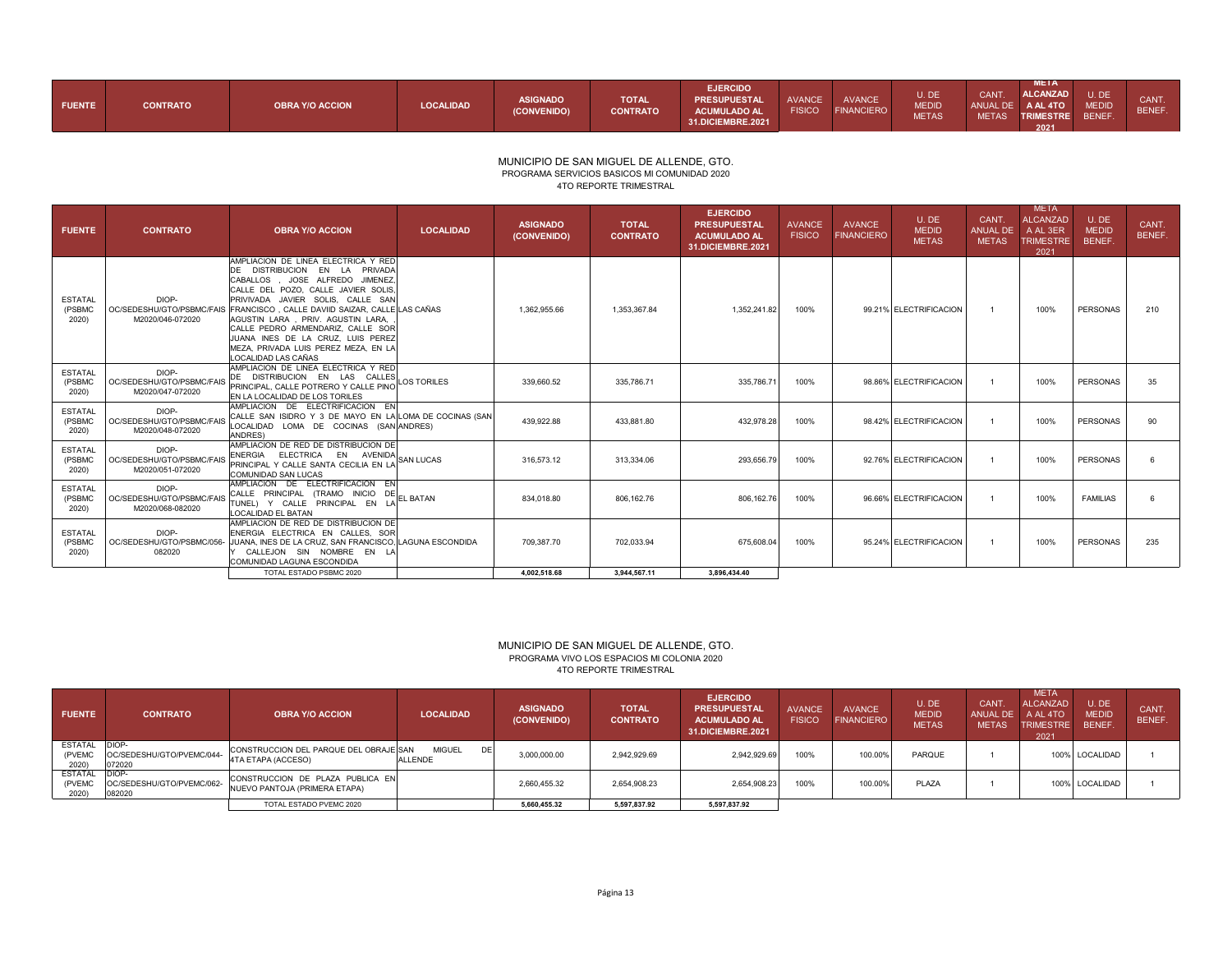| <b>FUENTE</b> | <b>CONTRATO</b> | <b>OBRA Y/O ACCION</b> | <b>LOCALIDAD</b> | <b>ASIGNADO</b><br>(CONVENIDO) | <b>TOTAL</b><br><b>CONTRATO</b> | <b>EJERCIDO</b><br>PRESUPUESTAL<br><b>ACUMULADO AL</b><br><b>31.DICIEMBRE.2021</b> | AVANCE<br><b>FISICO</b> | <b>AVANCE</b><br><b>FINANCIERO</b> | u. De<br><b>MEDID</b><br><b>METAS</b> | <b>CANT</b><br>ANUAL DE<br><b>METAS</b> | META<br><b>ALCANZAD</b><br>A AL 4TO<br><b>TRIMESTRE</b><br>2021 | U.DE<br><b>MEDID</b><br><b>BENEF</b> | <b>CANT</b><br><b>BENEF</b> |
|---------------|-----------------|------------------------|------------------|--------------------------------|---------------------------------|------------------------------------------------------------------------------------|-------------------------|------------------------------------|---------------------------------------|-----------------------------------------|-----------------------------------------------------------------|--------------------------------------|-----------------------------|
|---------------|-----------------|------------------------|------------------|--------------------------------|---------------------------------|------------------------------------------------------------------------------------|-------------------------|------------------------------------|---------------------------------------|-----------------------------------------|-----------------------------------------------------------------|--------------------------------------|-----------------------------|

#### MUNICIPIO DE SAN MIGUEL DE ALLENDE, GTO. PROGRAMA SERVICIOS BASICOS MI COMUNIDAD 2020 4TO REPORTE TRIMESTRAL

| <b>FUENTE</b>                     | <b>CONTRATO</b>                                        | <b>OBRA Y/O ACCION</b>                                                                                                                                                                                                                                                                                                                                                                                                 | <b>LOCALIDAD</b> | <b>ASIGNADO</b><br>(CONVENIDO) | <b>TOTAL</b><br><b>CONTRATO</b> | <b>EJERCIDO</b><br><b>PRESUPUESTAL</b><br><b>ACUMULADO AL</b><br>31.DICIEMBRE.2021 | <b>AVANCE</b><br><b>FISICO</b> | <b>AVANCE</b><br><b>FINANCIERO</b> | U.DE<br><b>MEDID</b><br><b>METAS</b> | CANT.<br>ANUAL DE<br><b>METAS</b> | <b>META</b><br><b>ALCANZAD</b><br>A AL 3ER<br><b>TRIMESTRE</b><br>2021 | U.DE<br><b>MEDID</b><br>BENEF. | CANT.<br>BENEF. |
|-----------------------------------|--------------------------------------------------------|------------------------------------------------------------------------------------------------------------------------------------------------------------------------------------------------------------------------------------------------------------------------------------------------------------------------------------------------------------------------------------------------------------------------|------------------|--------------------------------|---------------------------------|------------------------------------------------------------------------------------|--------------------------------|------------------------------------|--------------------------------------|-----------------------------------|------------------------------------------------------------------------|--------------------------------|-----------------|
| <b>ESTATAL</b><br>(PSBMC<br>2020) | DIOP-<br>OC/SEDESHU/GTO/PSBMC/FAIS<br>M2020/046-072020 | AMPLIACION DE LINEA ELECTRICA Y RED<br>DE DISTRIBUCION EN LA PRIVADA<br>CABALLOS . JOSE ALFREDO JIMENEZ.<br>CALLE DEL POZO, CALLE JAVIER SOLIS.<br>PRIVIVADA JAVIER SOLIS. CALLE SAN<br>FRANCISCO, CALLE DAVIID SAIZAR, CALLE LAS CAÑAS<br>AGUSTIN LARA , PRIV, AGUSTIN LARA.<br>CALLE PEDRO ARMENDARIZ, CALLE SOR<br>JUANA INES DE LA CRUZ. LUIS PEREZ<br>MEZA, PRIVADA LUIS PEREZ MEZA, EN LA<br>LOCALIDAD LAS CAÑAS |                  | 1.362.955.66                   | 1.353.367.84                    | 1.352.241.82                                                                       | 100%                           |                                    | 99.21% ELECTRIFICACION               |                                   | 100%                                                                   | <b>PERSONAS</b>                | 210             |
| <b>ESTATAL</b><br>(PSBMC<br>2020) | DIOP-<br>OC/SEDESHU/GTO/PSBMC/FAIS<br>M2020/047-072020 | AMPLIACION DE LINEA ELECTRICA Y RED<br>DE DISTRIBUCION EN LAS CALLES<br>PRINCIPAL, CALLE POTRERO Y CALLE PINO LOS TORILES<br>EN LA LOCALIDAD DE LOS TORILES                                                                                                                                                                                                                                                            |                  | 339.660.52                     | 335.786.71                      | 335.786.71                                                                         | 100%                           |                                    | 98.86% ELECTRIFICACION               |                                   | 100%                                                                   | PERSONAS                       | 35              |
| <b>ESTATAL</b><br>(PSBMC<br>2020) | DIOP-<br>OC/SEDESHU/GTO/PSBMC/FAIS<br>M2020/048-072020 | AMPLIACION DE ELECTRIFICACION EN<br>CALLE SAN ISIDRO Y 3 DE MAYO EN LA LOMA DE COCINAS (SAN<br>LOCALIDAD LOMA DE COCINAS (SAN ANDRES)<br>ANDRES)                                                                                                                                                                                                                                                                       |                  | 439.922.88                     | 433.881.80                      | 432.978.28                                                                         | 100%                           |                                    | 98.42% ELECTRIFICACION               |                                   | 100%                                                                   | <b>PERSONAS</b>                | 90              |
| <b>ESTATAL</b><br>(PSBMC<br>2020) | DIOP-<br>OC/SEDESHU/GTO/PSBMC/FAIS<br>M2020/051-072020 | AMPLIACION DE RED DE DISTRIBUCION DE<br>ENERGIA ELECTRICA EN AVENIDA SAN LUCAS<br>PRINCIPAL Y CALLE SANTA CECILIA EN LA<br>COMUNIDAD SAN LUCAS                                                                                                                                                                                                                                                                         |                  | 316.573.12                     | 313.334.06                      | 293.656.79                                                                         | 100%                           |                                    | 92.76% ELECTRIFICACION               |                                   | 100%                                                                   | <b>PERSONAS</b>                |                 |
| <b>ESTATAL</b><br>(PSBMC<br>2020) | DIOP-<br>OC/SEDESHU/GTO/PSBMC/FAIS<br>M2020/068-082020 | AMPLIACION DE ELECTRIFICACION EN<br>CALLE PRINCIPAL (TRAMO INICIO DE EL BATAN<br>TUNEL) Y CALLE PRINCIPAL EN LA<br>LOCALIDAD EL BATAN                                                                                                                                                                                                                                                                                  |                  | 834.018.80                     | 806.162.76                      | 806,162.76                                                                         | 100%                           |                                    | 96.66% ELECTRIFICACION               |                                   | 100%                                                                   | <b>FAMILIAS</b>                | 6               |
| <b>ESTATAL</b><br>(PSBMC<br>2020) | DIOP-<br>OC/SEDESHU/GTO/PSBMC/056-<br>082020           | AMPLIACION DE RED DE DISTRIBUCION DE<br>ENERGIA ELECTRICA EN CALLES. SOR<br>JUANA. INES DE LA CRUZ. SAN FRANCISCO. LAGUNA ESCONDIDA<br>Y CALLEJON SIN NOMBRE EN LA<br>COMUNIDAD LAGUNA ESCONDIDA                                                                                                                                                                                                                       |                  | 709,387.70                     | 702.033.94                      | 675,608.04                                                                         | 100%                           |                                    | 95.24% ELECTRIFICACION               |                                   | 100%                                                                   | <b>PERSONAS</b>                | 235             |
|                                   |                                                        | TOTAL ESTADO PSBMC 2020                                                                                                                                                                                                                                                                                                                                                                                                |                  | 4.002.518.68                   | 3.944.567.11                    | 3.896.434.40                                                                       |                                |                                    |                                      |                                   |                                                                        |                                |                 |

### MUNICIPIO DE SAN MIGUEL DE ALLENDE, GTO. PROGRAMA VIVO LOS ESPACIOS MI COLONIA 2020 4TO REPORTE TRIMESTRAL

| <b>FUENTE</b>                     | <b>CONTRATO</b>                              | <b>OBRA Y/O ACCION</b>                                            | <b>LOCALIDAD</b>               | <b>ASIGNADO</b><br>(CONVENIDO) | <b>TOTAL</b><br><b>CONTRATO</b> | <b>EJERCIDO</b><br><b>PRESUPUESTAL</b><br><b>ACUMULADO AL</b><br><b>31.DICIEMBRE.2021</b> | <b>AVANCE</b><br><b>FISICO</b> | <b>AVANCE</b><br><b>FINANCIERO</b> | U.DE<br><b>MEDID</b><br><b>METAS</b> | <b>CANT</b><br>ANUAL DE<br><b>METAS</b> | <b>META</b><br><b>ALCANZAD</b><br>A AL 4TO<br><b>TRIMESTRE</b><br>2021 | U.DE<br><b>MEDID</b><br><b>BENEF.</b> | CANT.<br>BENEF. |
|-----------------------------------|----------------------------------------------|-------------------------------------------------------------------|--------------------------------|--------------------------------|---------------------------------|-------------------------------------------------------------------------------------------|--------------------------------|------------------------------------|--------------------------------------|-----------------------------------------|------------------------------------------------------------------------|---------------------------------------|-----------------|
| <b>ESTATAL</b><br>(PVEMC<br>2020) | DIOP-<br>OC/SEDESHU/GTO/PVEMC/044-<br>072020 | CONSTRUCCION DEL PARQUE DEL OBRAJE SAN<br>4TA ETAPA (ACCESO)      | <b>MIGUEL</b><br>DE<br>ALLENDE | 3,000,000.00                   | 2.942.929.69                    | 2.942.929.69                                                                              | 100%                           | 100.00%                            | <b>PARQUE</b>                        |                                         |                                                                        | 100% LOCALIDAD                        |                 |
| <b>ESTATAL</b><br>(PVEMC<br>2020) | DIOP-<br>OC/SEDESHU/GTO/PVEMC/062-<br>082020 | CONSTRUCCION DE PLAZA PUBLICA EN<br>NUEVO PANTOJA (PRIMERA ETAPA) |                                | 2,660,455.32                   | 2,654,908.23                    | 2,654,908.23                                                                              | 100%                           | 100.00%                            | PLAZA                                |                                         |                                                                        | 100% LOCALIDAD                        |                 |
|                                   |                                              | TOTAL ESTADO PVEMC 2020                                           |                                | 5.660.455.32                   | 5.597.837.92                    | 5,597,837.92                                                                              |                                |                                    |                                      |                                         |                                                                        |                                       |                 |